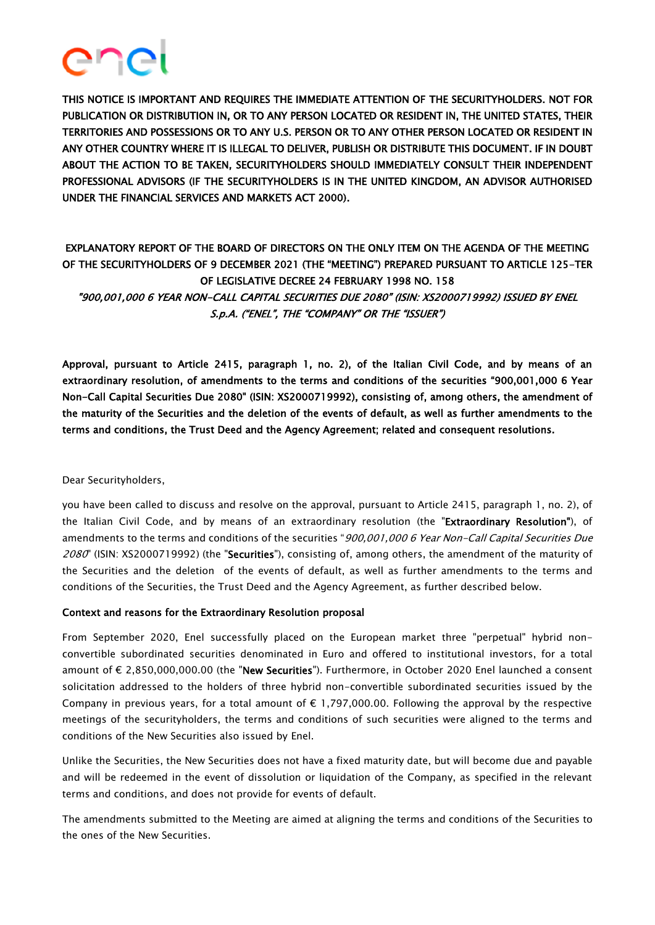

THIS NOTICE IS IMPORTANT AND REQUIRES THE IMMEDIATE ATTENTION OF THE SECURITYHOLDERS. NOT FOR PUBLICATION OR DISTRIBUTION IN, OR TO ANY PERSON LOCATED OR RESIDENT IN, THE UNITED STATES, THEIR TERRITORIES AND POSSESSIONS OR TO ANY U.S. PERSON OR TO ANY OTHER PERSON LOCATED OR RESIDENT IN ANY OTHER COUNTRY WHERE IT IS ILLEGAL TO DELIVER, PUBLISH OR DISTRIBUTE THIS DOCUMENT. IF IN DOUBT ABOUT THE ACTION TO BE TAKEN, SECURITYHOLDERS SHOULD IMMEDIATELY CONSULT THEIR INDEPENDENT PROFESSIONAL ADVISORS (IF THE SECURITYHOLDERS IS IN THE UNITED KINGDOM, AN ADVISOR AUTHORISED UNDER THE FINANCIAL SERVICES AND MARKETS ACT 2000).

# EXPLANATORY REPORT OF THE BOARD OF DIRECTORS ON THE ONLY ITEM ON THE AGENDA OF THE MEETING OF THE SECURITYHOLDERS OF 9 DECEMBER 2021 (THE "MEETING") PREPARED PURSUANT TO ARTICLE 125-TER OF LEGISLATIVE DECREE 24 FEBRUARY 1998 NO. 158 "900,001,000 6 YEAR NON-CALL CAPITAL SECURITIES DUE 2080" (ISIN: XS2000719992) ISSUED BY ENEL S.p.A. ("ENEL", THE "COMPANY" OR THE "ISSUER")

Approval, pursuant to Article 2415, paragraph 1, no. 2), of the Italian Civil Code, and by means of an extraordinary resolution, of amendments to the terms and conditions of the securities "900,001,000 6 Year Non-Call Capital Securities Due 2080" (ISIN: XS2000719992), consisting of, among others, the amendment of the maturity of the Securities and the deletion of the events of default, as well as further amendments to the terms and conditions, the Trust Deed and the Agency Agreement; related and consequent resolutions.

## Dear Securityholders,

you have been called to discuss and resolve on the approval, pursuant to Article 2415, paragraph 1, no. 2), of the Italian Civil Code, and by means of an extraordinary resolution (the "Extraordinary Resolution"), of amendments to the terms and conditions of the securities "900,001,000 6 Year Non-Call Capital Securities Due 2080" (ISIN: XS2000719992) (the "Securities"), consisting of, among others, the amendment of the maturity of the Securities and the deletion of the events of default, as well as further amendments to the terms and conditions of the Securities, the Trust Deed and the Agency Agreement, as further described below.

## Context and reasons for the Extraordinary Resolution proposal

From September 2020, Enel successfully placed on the European market three "perpetual" hybrid nonconvertible subordinated securities denominated in Euro and offered to institutional investors, for a total amount of € 2,850,000,000.00 (the "New Securities"). Furthermore, in October 2020 Enel launched a consent solicitation addressed to the holders of three hybrid non-convertible subordinated securities issued by the Company in previous years, for a total amount of  $\epsilon$  1,797,000.00. Following the approval by the respective meetings of the securityholders, the terms and conditions of such securities were aligned to the terms and conditions of the New Securities also issued by Enel.

Unlike the Securities, the New Securities does not have a fixed maturity date, but will become due and payable and will be redeemed in the event of dissolution or liquidation of the Company, as specified in the relevant terms and conditions, and does not provide for events of default.

The amendments submitted to the Meeting are aimed at aligning the terms and conditions of the Securities to the ones of the New Securities.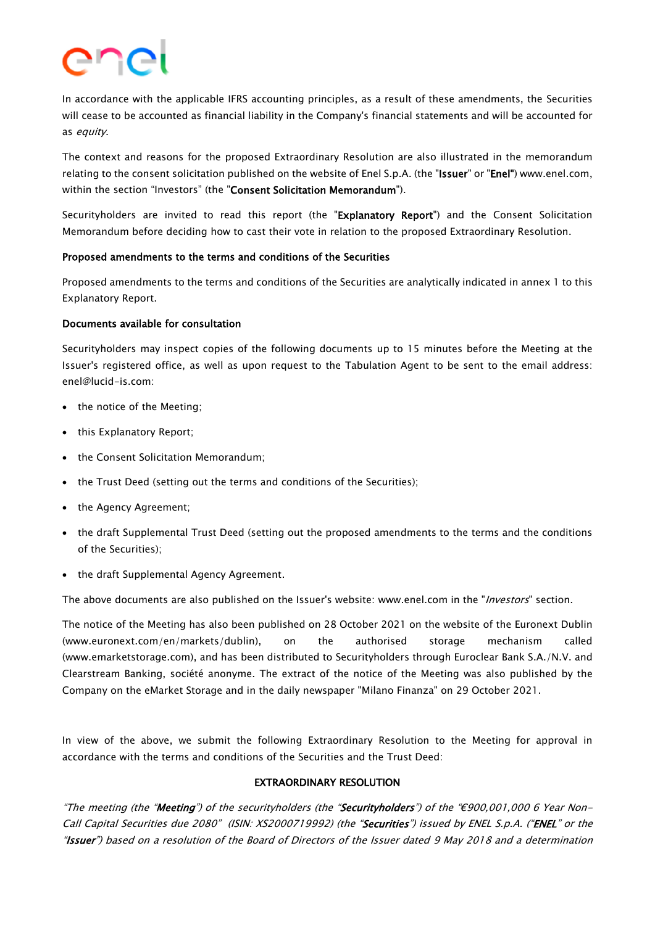

In accordance with the applicable IFRS accounting principles, as a result of these amendments, the Securities will cease to be accounted as financial liability in the Company's financial statements and will be accounted for as equity.

The context and reasons for the proposed Extraordinary Resolution are also illustrated in the memorandum relating to the consent solicitation published on the website of Enel S.p.A. (the "Issuer" or "Enel") www.enel.com, within the section "Investors" (the "Consent Solicitation Memorandum").

Securityholders are invited to read this report (the "Explanatory Report") and the Consent Solicitation Memorandum before deciding how to cast their vote in relation to the proposed Extraordinary Resolution.

#### Proposed amendments to the terms and conditions of the Securities

Proposed amendments to the terms and conditions of the Securities are analytically indicated in annex 1 to this Explanatory Report.

#### Documents available for consultation

Securityholders may inspect copies of the following documents up to 15 minutes before the Meeting at the Issuer's registered office, as well as upon request to the Tabulation Agent to be sent to the email address: enel@lucid-is.com:

- the notice of the Meeting;
- this Explanatory Report;
- the Consent Solicitation Memorandum:
- the Trust Deed (setting out the terms and conditions of the Securities);
- the Agency Agreement;
- the draft Supplemental Trust Deed (setting out the proposed amendments to the terms and the conditions of the Securities);
- the draft Supplemental Agency Agreement.

The above documents are also published on the Issuer's website: www.enel.com in the "Investors" section.

The notice of the Meeting has also been published on 28 October 2021 on the website of the Euronext Dublin (www.euronext.com/en/markets/dublin), on the authorised storage mechanism called (www.emarketstorage.com), and has been distributed to Securityholders through Euroclear Bank S.A./N.V. and Clearstream Banking, société anonyme. The extract of the notice of the Meeting was also published by the Company on the eMarket Storage and in the daily newspaper "Milano Finanza" on 29 October 2021.

In view of the above, we submit the following Extraordinary Resolution to the Meeting for approval in accordance with the terms and conditions of the Securities and the Trust Deed:

## EXTRAORDINARY RESOLUTION

"The meeting (the "Meeting") of the securityholders (the "Securityholders") of the "€900,001,000 6 Year Non-Call Capital Securities due 2080" (ISIN: XS2000719992) (the "Securities") issued by ENEL S.p.A. ("ENEL" or the "Issuer") based on a resolution of the Board of Directors of the Issuer dated 9 May 2018 and a determination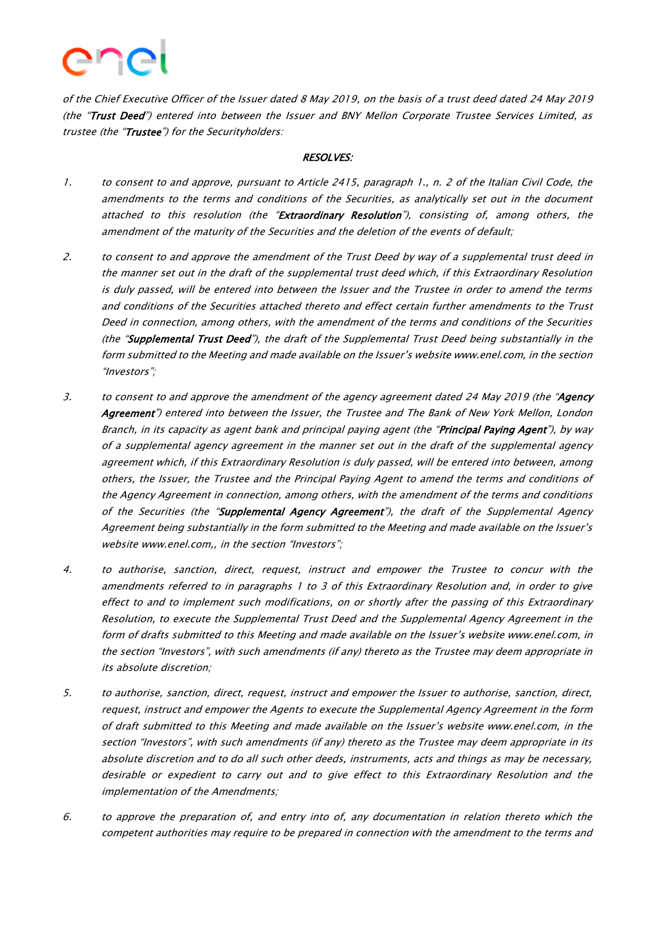

of the Chief Executive Officer of the Issuer dated 8 May 2019, on the basis of a trust deed dated 24 May 2019 (the "Trust Deed") entered into between the Issuer and BNY Mellon Corporate Trustee Services Limited, as trustee (the "Trustee") for the Securityholders:

#### RESOLVES:

- 1. to consent to and approve, pursuant to Article 2415, paragraph 1., n. 2 of the Italian Civil Code, the amendments to the terms and conditions of the Securities, as analytically set out in the document attached to this resolution (the "Extraordinary Resolution"), consisting of, among others, the amendment of the maturity of the Securities and the deletion of the events of default;
- 2. to consent to and approve the amendment of the Trust Deed by way of a supplemental trust deed in the manner set out in the draft of the supplemental trust deed which, if this Extraordinary Resolution is duly passed, will be entered into between the Issuer and the Trustee in order to amend the terms and conditions of the Securities attached thereto and effect certain further amendments to the Trust Deed in connection, among others, with the amendment of the terms and conditions of the Securities (the "Supplemental Trust Deed"), the draft of the Supplemental Trust Deed being substantially in the form submitted to the Meeting and made available on the Issuer's website www.enel.com, in the section "Investors";
- 3. to consent to and approve the amendment of the agency agreement dated 24 May 2019 (the "Agency Agreement") entered into between the Issuer, the Trustee and The Bank of New York Mellon, London Branch, in its capacity as agent bank and principal paying agent (the "Principal Paying Agent"), by way of a supplemental agency agreement in the manner set out in the draft of the supplemental agency agreement which, if this Extraordinary Resolution is duly passed, will be entered into between, among others, the Issuer, the Trustee and the Principal Paying Agent to amend the terms and conditions of the Agency Agreement in connection, among others, with the amendment of the terms and conditions of the Securities (the "Supplemental Agency Agreement"), the draft of the Supplemental Agency Agreement being substantially in the form submitted to the Meeting and made available on the Issuer's website www.enel.com,, in the section "Investors";
- 4. to authorise, sanction, direct, request, instruct and empower the Trustee to concur with the amendments referred to in paragraphs 1 to 3 of this Extraordinary Resolution and, in order to give effect to and to implement such modifications, on or shortly after the passing of this Extraordinary Resolution, to execute the Supplemental Trust Deed and the Supplemental Agency Agreement in the form of drafts submitted to this Meeting and made available on the Issuer's website www.enel.com, in the section "Investors", with such amendments (if any) thereto as the Trustee may deem appropriate in its absolute discretion;
- 5. to authorise, sanction, direct, request, instruct and empower the Issuer to authorise, sanction, direct, request, instruct and empower the Agents to execute the Supplemental Agency Agreement in the form of draft submitted to this Meeting and made available on the Issuer's website www.enel.com, in the section "Investors", with such amendments (if any) thereto as the Trustee may deem appropriate in its absolute discretion and to do all such other deeds, instruments, acts and things as may be necessary, desirable or expedient to carry out and to give effect to this Extraordinary Resolution and the implementation of the Amendments;
- 6. to approve the preparation of, and entry into of, any documentation in relation thereto which the competent authorities may require to be prepared in connection with the amendment to the terms and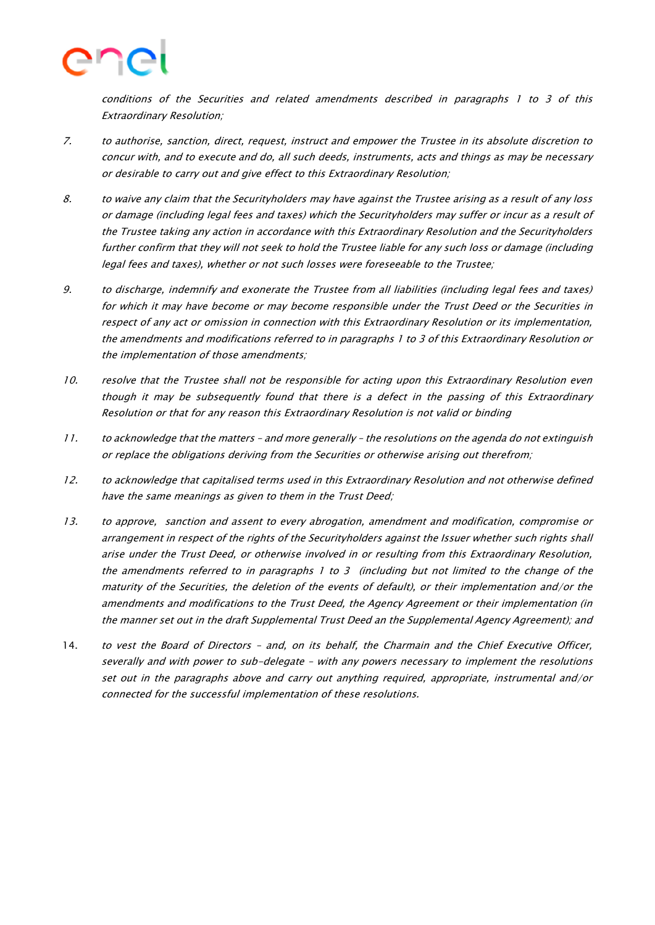

conditions of the Securities and related amendments described in paragraphs 1 to 3 of this Extraordinary Resolution;

- 7. to authorise, sanction, direct, request, instruct and empower the Trustee in its absolute discretion to concur with, and to execute and do, all such deeds, instruments, acts and things as may be necessary or desirable to carry out and give effect to this Extraordinary Resolution;
- 8. to waive any claim that the Securityholders may have against the Trustee arising as a result of any loss or damage (including legal fees and taxes) which the Securityholders may suffer or incur as a result of the Trustee taking any action in accordance with this Extraordinary Resolution and the Securityholders further confirm that they will not seek to hold the Trustee liable for any such loss or damage (including legal fees and taxes), whether or not such losses were foreseeable to the Trustee;
- 9. to discharge, indemnify and exonerate the Trustee from all liabilities (including legal fees and taxes) for which it may have become or may become responsible under the Trust Deed or the Securities in respect of any act or omission in connection with this Extraordinary Resolution or its implementation, the amendments and modifications referred to in paragraphs 1 to 3 of this Extraordinary Resolution or the implementation of those amendments;
- 10. resolve that the Trustee shall not be responsible for acting upon this Extraordinary Resolution even though it may be subsequently found that there is a defect in the passing of this Extraordinary Resolution or that for any reason this Extraordinary Resolution is not valid or binding
- 11. to acknowledge that the matters and more generally the resolutions on the agenda do not extinguish or replace the obligations deriving from the Securities or otherwise arising out therefrom;
- 12. to acknowledge that capitalised terms used in this Extraordinary Resolution and not otherwise defined have the same meanings as given to them in the Trust Deed;
- 13. to approve, sanction and assent to every abrogation, amendment and modification, compromise or arrangement in respect of the rights of the Securityholders against the Issuer whether such rights shall arise under the Trust Deed, or otherwise involved in or resulting from this Extraordinary Resolution, the amendments referred to in paragraphs 1 to 3 (including but not limited to the change of the maturity of the Securities, the deletion of the events of default), or their implementation and/or the amendments and modifications to the Trust Deed, the Agency Agreement or their implementation (in the manner set out in the draft Supplemental Trust Deed an the Supplemental Agency Agreement); and
- 14. to vest the Board of Directors and, on its behalf, the Charmain and the Chief Executive Officer, severally and with power to sub-delegate – with any powers necessary to implement the resolutions set out in the paragraphs above and carry out anything required, appropriate, instrumental and/or connected for the successful implementation of these resolutions.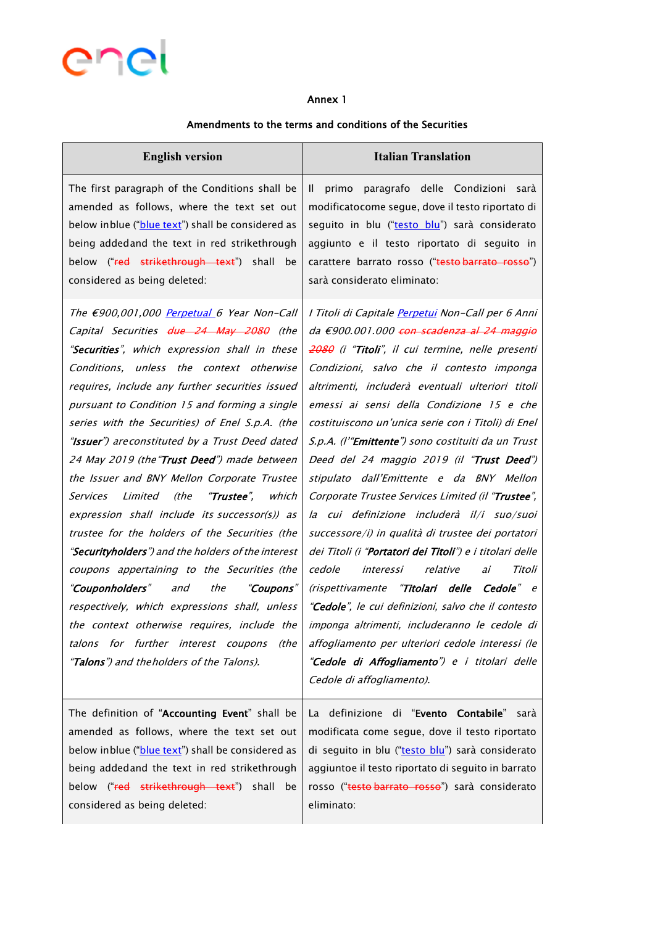

#### Annex 1

## Amendments to the terms and conditions of the Securities

| <b>English version</b>                                                                                                                                                                                                                                                                                                                                                                                                                                                                                                                                                                                                                                                                                                                                                                                                                                                                                                                                                                                    | <b>Italian Translation</b>                                                                                                                                                                                                                                                                                                                                                                                                                                                                                                                                                                                                                                                                                                                                                                                                                                                                                                                                                                                                                                                            |
|-----------------------------------------------------------------------------------------------------------------------------------------------------------------------------------------------------------------------------------------------------------------------------------------------------------------------------------------------------------------------------------------------------------------------------------------------------------------------------------------------------------------------------------------------------------------------------------------------------------------------------------------------------------------------------------------------------------------------------------------------------------------------------------------------------------------------------------------------------------------------------------------------------------------------------------------------------------------------------------------------------------|---------------------------------------------------------------------------------------------------------------------------------------------------------------------------------------------------------------------------------------------------------------------------------------------------------------------------------------------------------------------------------------------------------------------------------------------------------------------------------------------------------------------------------------------------------------------------------------------------------------------------------------------------------------------------------------------------------------------------------------------------------------------------------------------------------------------------------------------------------------------------------------------------------------------------------------------------------------------------------------------------------------------------------------------------------------------------------------|
| The first paragraph of the Conditions shall be<br>amended as follows, where the text set out<br>below inblue ("blue text") shall be considered as<br>being addedand the text in red strikethrough<br>below ("red strikethrough text") shall<br>be<br>considered as being deleted:                                                                                                                                                                                                                                                                                                                                                                                                                                                                                                                                                                                                                                                                                                                         | primo paragrafo delle Condizioni sarà<br>Ш.<br>modificatocome segue, dove il testo riportato di<br>seguito in blu ("testo blu") sarà considerato<br>aggiunto e il testo riportato di seguito in<br>carattere barrato rosso ("testo barrato rosso")<br>sarà considerato eliminato:                                                                                                                                                                                                                                                                                                                                                                                                                                                                                                                                                                                                                                                                                                                                                                                                     |
| The €900,001,000 Perpetual 6 Year Non-Call<br>Capital Securities due 24 May 2080 (the<br>"Securities", which expression shall in these<br>Conditions, unless the context otherwise<br>requires, include any further securities issued<br>pursuant to Condition 15 and forming a single<br>series with the Securities) of Enel S.p.A. (the<br>"Issuer") areconstituted by a Trust Deed dated<br>24 May 2019 (the "Trust Deed") made between<br>the Issuer and BNY Mellon Corporate Trustee<br>Limited (the " <b>Trustee</b> ",<br>which<br>Services<br>expression shall include its successor(s)) as<br>trustee for the holders of the Securities (the<br>"Securityholders") and the holders of the interest<br>coupons appertaining to the Securities (the<br>" <b>Couponholders</b> " and<br>the<br>"Coupons"<br>respectively, which expressions shall, unless<br>the context otherwise requires, include the<br>talons for further interest coupons<br>(the<br>"Talons") and theholders of the Talons). | I Titoli di Capitale Perpetui Non-Call per 6 Anni<br>da €900.001.000 <del>con scadenza al 24 maggio</del><br>2080 (i "Titoli", il cui termine, nelle presenti<br>Condizioni, salvo che il contesto imponga<br>altrimenti, includerà eventuali ulteriori titoli<br>emessi ai sensi della Condizione 15 e che<br>costituiscono un'unica serie con i Titoli) di Enel<br>S.p.A. (l'"Emittente") sono costituiti da un Trust<br>Deed del 24 maggio 2019 (il "Trust Deed")<br>stipulato dall'Emittente e da BNY Mellon<br>Corporate Trustee Services Limited (il "Trustee",<br>la cui definizione includerà il/i suo/suoi<br>successore/i) in qualità di trustee dei portatori<br>dei Titoli (i " <b>Portatori dei Titoli</b> ") e i titolari delle<br>cedole<br>interessi relative<br>Titoli<br>ai<br>(rispettivamente "Titolari delle Cedole" e<br>"Cedole", le cui definizioni, salvo che il contesto<br>imponga altrimenti, includeranno le cedole di<br>affogliamento per ulteriori cedole interessi (le<br>"Cedole di Affogliamento") e i titolari delle<br>Cedole di affogliamento). |
| The definition of "Accounting Event" shall be<br>amended as follows, where the text set out<br>below inblue ("blue text") shall be considered as<br>being addedand the text in red strikethrough<br>below ("red strikethrough text") shall be<br>considered as being deleted:                                                                                                                                                                                                                                                                                                                                                                                                                                                                                                                                                                                                                                                                                                                             | La definizione di "Evento Contabile"<br>sarà<br>modificata come segue, dove il testo riportato<br>di seguito in blu ("testo blu") sarà considerato<br>aggiuntoe il testo riportato di seguito in barrato<br>rosso ("testo barrato rosso") sarà considerato<br>eliminato:                                                                                                                                                                                                                                                                                                                                                                                                                                                                                                                                                                                                                                                                                                                                                                                                              |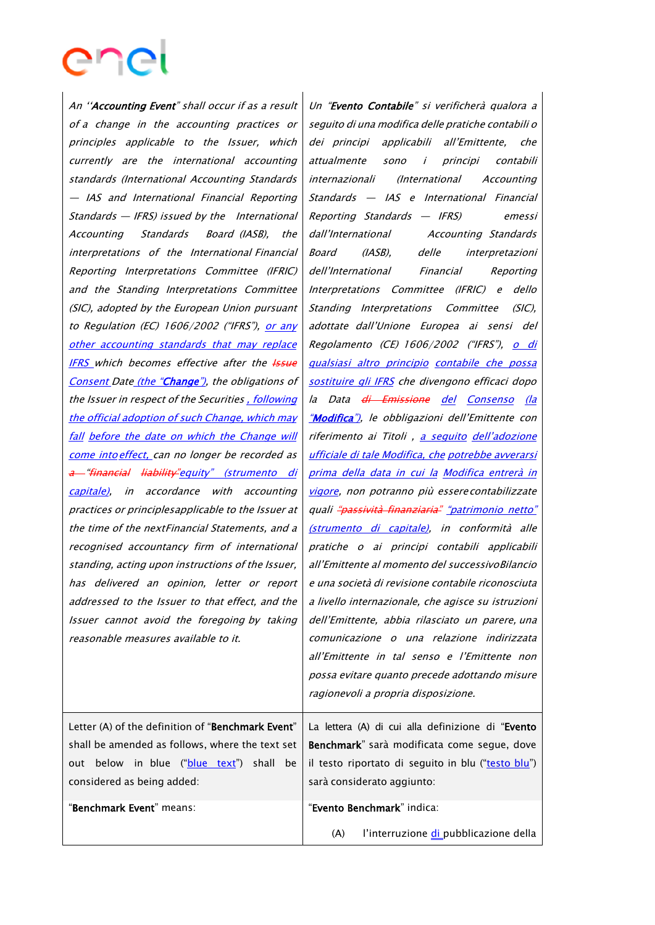An ''Accounting Event" shall occur if as <sup>a</sup> result of a change in the accounting practices or principles applicable to the Issuer, which currently are the international accounting standards (International Accounting Standards — IAS and International Financial Reporting Standards — IFRS) issued by the International Accounting Standards Board (IASB), the interpretations of the International Financial Reporting Interpretations Committee (IFRIC) and the Standing Interpretations Committee (SIC), adopted by the European Union pursuant to Regulation (EC) 1606/2002 ("IFRS"), or any other accounting standards that may replace **IFRS** which becomes effective after the **Issue** Consent Date (the "Change"), the obligations of the Issuer in respect of the Securities , following the official adoption of such Change, which may fall before the date on which the Change will come into effect, can no longer be recorded as a "financial liability" equity" (strumento di capitale), in accordance with accounting practices or principlesapplicable to the Issuer at the time of the nextFinancial Statements, and <sup>a</sup> recognised accountancy firm of international standing, acting upon instructions of the Issuer, has delivered an opinion, letter or report addressed to the Issuer to that effect, and the Issuer cannot avoid the foregoing by taking reasonable measures available to it.

Un "Evento Contabile" si verificherà qualora a seguito di una modifica delle pratiche contabili <sup>o</sup> dei principi applicabili all'Emittente, che attualmente sono i principi contabili internazionali (International Accounting Standards — IAS e International Financial Reporting Standards — IFRS) emessi dall'International Accounting Standards Board (IASB), delle interpretazioni dell'International Financial Reporting Interpretations Committee (IFRIC) <sup>e</sup> dello Standing Interpretations Committee (SIC), adottate dall'Unione Europea ai sensi del Regolamento (CE) 1606/2002 ("IFRS"), o di qualsiasi altro principio contabile che possa sostituire gli IFRS che divengono efficaci dopo la Data <del>di Emissione</del> del Consenso (la "Modifica"), le obbligazioni dell'Emittente con riferimento ai Titoli, a seguito dell'adozione ufficiale di tale Modifica, che potrebbe avverarsi prima della data in cui la Modifica entrerà in vigore, non potranno più essere contabilizzate quali "passività finanziaria" "patrimonio netto" (strumento di capitale), in conformità alle pratiche <sup>o</sup> ai principi contabili applicabili all'Emittente al momento del successivoBilancio <sup>e</sup> una società di revisione contabile riconosciuta a livello internazionale, che agisce su istruzioni dell'Emittente, abbia rilasciato un parere, una comunicazione o una relazione indirizzata all'Emittente in tal senso e l'Emittente non possa evitare quanto precede adottando misure ragionevoli a propria disposizione.

Letter (A) of the definition of "Benchmark Event" shall be amended as follows, where the text set out below in blue ("blue text") shall be considered as being added:

La lettera (A) di cui alla definizione di "Evento Benchmark" sarà modificata come segue, dove il testo riportato di seguito in blu ("testo blu") sarà considerato aggiunto:

"Benchmark Event" means: "Evento Benchmark" indica:

(A) l'interruzione di pubblicazione della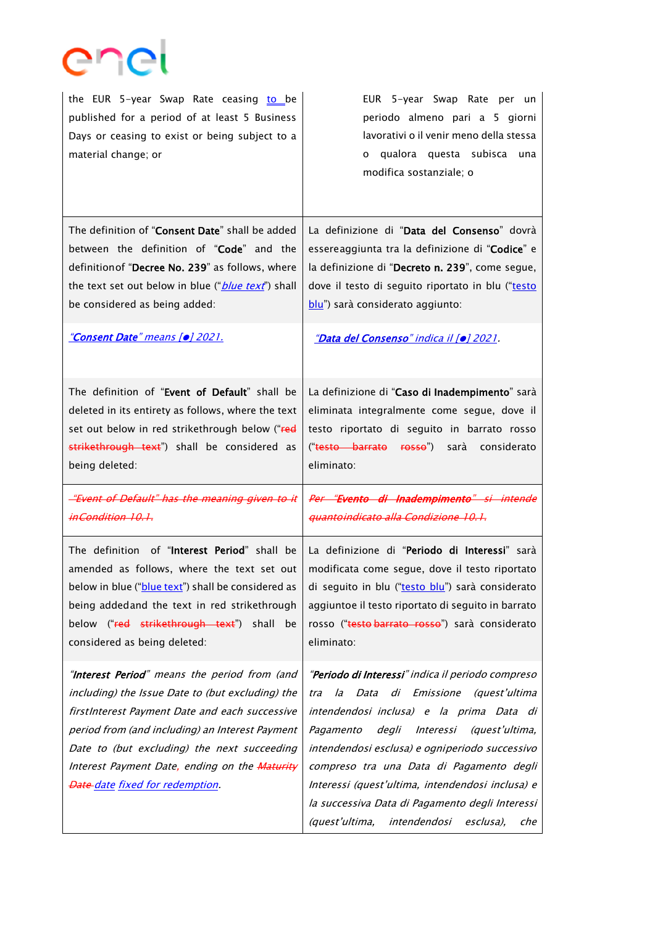

| the EUR 5-year Swap Rate ceasing to be<br>published for a period of at least 5 Business<br>Days or ceasing to exist or being subject to a<br>material change; or                                                                                                                                                                               | EUR 5-year Swap Rate per un<br>periodo almeno pari a 5 giorni<br>lavorativi o il venir meno della stessa<br>o qualora questa subisca una<br>modifica sostanziale; o                                                                                                                                                                                                                                                                                           |
|------------------------------------------------------------------------------------------------------------------------------------------------------------------------------------------------------------------------------------------------------------------------------------------------------------------------------------------------|---------------------------------------------------------------------------------------------------------------------------------------------------------------------------------------------------------------------------------------------------------------------------------------------------------------------------------------------------------------------------------------------------------------------------------------------------------------|
| The definition of "Consent Date" shall be added<br>between the definition of "Code" and the<br>definition of "Decree No. 239" as follows, where<br>the text set out below in blue (" <i>blue text</i> ") shall<br>be considered as being added:                                                                                                | La definizione di "Data del Consenso" dovrà<br>essereaggiunta tra la definizione di "Codice" e<br>la definizione di "Decreto n. 239", come segue,<br>dove il testo di seguito riportato in blu ("testo<br>blu") sarà considerato aggiunto:                                                                                                                                                                                                                    |
| "Consent Date" means [o] 2021.                                                                                                                                                                                                                                                                                                                 | "Data del Consenso" indica il [o] 2021.                                                                                                                                                                                                                                                                                                                                                                                                                       |
| The definition of "Event of Default" shall be<br>deleted in its entirety as follows, where the text<br>set out below in red strikethrough below ("red<br>strikethrough text") shall be considered as<br>being deleted:                                                                                                                         | La definizione di "Caso di Inadempimento" sarà<br>eliminata integralmente come segue, dove il<br>testo riportato di seguito in barrato rosso<br>(" <del>testo barrato rosso</del> ")<br>sarà considerato<br>eliminato:                                                                                                                                                                                                                                        |
| "Event of Default" has the meaning given to it<br>inCondition 10.1.                                                                                                                                                                                                                                                                            | Per "Evento di Inadempimento" si intende<br>quantoindicato alla Condizione 10.1.                                                                                                                                                                                                                                                                                                                                                                              |
| The definition of "Interest Period" shall be<br>amended as follows, where the text set out<br>below in blue ("blue text") shall be considered as<br>being addedand the text in red strikethrough<br>below ("red strikethrough text") shall<br>be<br>considered as being deleted:                                                               | La definizione di "Periodo di Interessi" sarà<br>modificata come segue, dove il testo riportato<br>di seguito in blu ("testo blu") sarà considerato<br>aggiuntoe il testo riportato di seguito in barrato<br>rosso ("testo barrato rosso") sarà considerato<br>eliminato:                                                                                                                                                                                     |
| "Interest Period" means the period from (and<br>including) the Issue Date to (but excluding) the<br>firstInterest Payment Date and each successive<br>period from (and including) an Interest Payment<br>Date to (but excluding) the next succeeding<br>Interest Payment Date, ending on the Maturity<br><b>Date date fixed for redemption</b> | "Periodo di Interessi" indica il periodo compreso<br>Data di Emissione (quest'ultima<br>la<br>tra<br>intendendosi inclusa) e la prima Data di<br>Pagamento<br>degli<br>Interessi<br>(quest'ultima,<br>intendendosi esclusa) e ogniperiodo successivo<br>compreso tra una Data di Pagamento degli<br>Interessi (quest'ultima, intendendosi inclusa) e<br>la successiva Data di Pagamento degli Interessi<br>intendendosi<br>(quest'ultima,<br>esclusa),<br>che |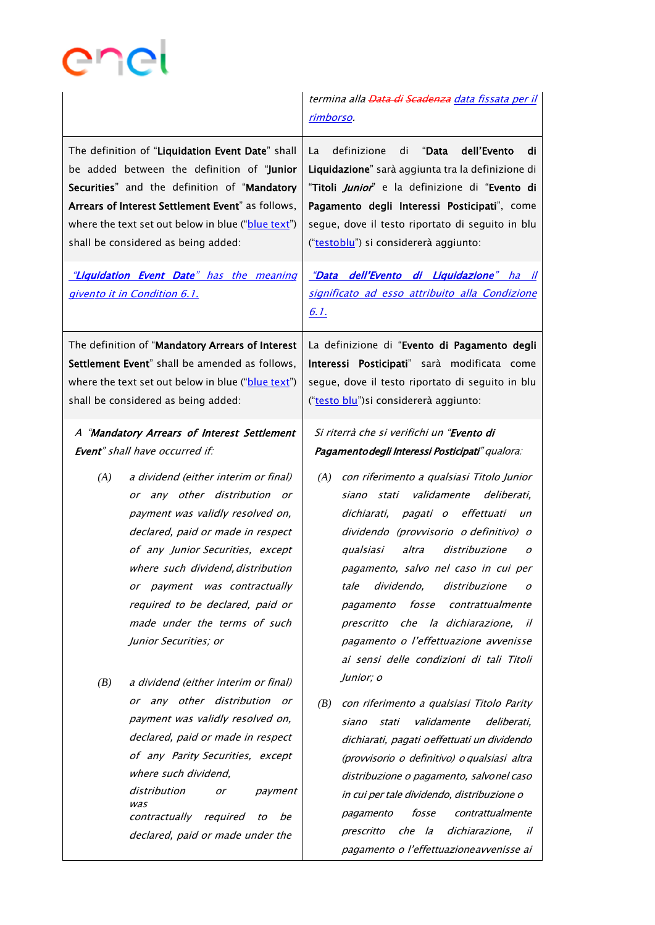

|                                                                                                                                                                                                                                                                                                                                                                                                                                                                                                                                                                                                                        | termina alla <del>Data di Scadenza</del> data fissata per il<br>rimborso.                                                                                                                                                                                                                                                                                                                                                                                                                                                                                                                                                                                                                                                                                                                                                               |
|------------------------------------------------------------------------------------------------------------------------------------------------------------------------------------------------------------------------------------------------------------------------------------------------------------------------------------------------------------------------------------------------------------------------------------------------------------------------------------------------------------------------------------------------------------------------------------------------------------------------|-----------------------------------------------------------------------------------------------------------------------------------------------------------------------------------------------------------------------------------------------------------------------------------------------------------------------------------------------------------------------------------------------------------------------------------------------------------------------------------------------------------------------------------------------------------------------------------------------------------------------------------------------------------------------------------------------------------------------------------------------------------------------------------------------------------------------------------------|
| The definition of "Liquidation Event Date" shall<br>be added between the definition of "Junior<br>Securities" and the definition of "Mandatory<br>Arrears of Interest Settlement Event" as follows,<br>where the text set out below in blue ("blue text")<br>shall be considered as being added:                                                                                                                                                                                                                                                                                                                       | dell'Evento<br>definizione<br>"Data<br>di<br>La<br>di<br>Liquidazione" sarà aggiunta tra la definizione di<br>"Titoli <i>Junior</i> " e la definizione di "Evento di<br>Pagamento degli Interessi Posticipati", come<br>segue, dove il testo riportato di seguito in blu<br>("testoblu") si considererà aggiunto:                                                                                                                                                                                                                                                                                                                                                                                                                                                                                                                       |
| "Liquidation Event Date" has the meaning<br>givento it in Condition 6.1.                                                                                                                                                                                                                                                                                                                                                                                                                                                                                                                                               | <u>"Data dell'Evento di Liquidazione" ha il</u><br>significato ad esso attribuito alla Condizione<br><u>6. l.</u>                                                                                                                                                                                                                                                                                                                                                                                                                                                                                                                                                                                                                                                                                                                       |
| The definition of "Mandatory Arrears of Interest<br>Settlement Event" shall be amended as follows,<br>where the text set out below in blue ("blue text")<br>shall be considered as being added:                                                                                                                                                                                                                                                                                                                                                                                                                        | La definizione di "Evento di Pagamento degli<br>Interessi Posticipati" sarà modificata come<br>segue, dove il testo riportato di seguito in blu<br>("testo blu") si considererà aggiunto:                                                                                                                                                                                                                                                                                                                                                                                                                                                                                                                                                                                                                                               |
| A "Mandatory Arrears of Interest Settlement<br>Event" shall have occurred if:                                                                                                                                                                                                                                                                                                                                                                                                                                                                                                                                          | Si riterrà che si verifichi un "Evento di<br>Pagamentodegli Interessi Posticipati" qualora:                                                                                                                                                                                                                                                                                                                                                                                                                                                                                                                                                                                                                                                                                                                                             |
| (A)<br>a dividend (either interim or final)<br>or any other distribution or<br>payment was validly resolved on,<br>declared, paid or made in respect<br>of any Junior Securities, except<br>where such dividend, distribution<br>or payment was contractually<br>required to be declared, paid or<br>made under the terms of such<br>Junior Securities; or<br>a dividend (either interim or final)<br>(B)<br>or any other distribution or<br>payment was validly resolved on,<br>declared, paid or made in respect<br>of any Parity Securities, except<br>where such dividend,<br>distribution<br>payment<br>or<br>was | con riferimento a qualsiasi Titolo Junior<br>(A)<br>validamente deliberati,<br>siano stati<br>dichiarati, pagati o effettuati<br>un<br>dividendo (provvisorio o definitivo) o<br>qualsiasi<br>altra<br>distribuzione<br>o<br>pagamento, salvo nel caso in cui per<br>dividendo,<br>distribuzione<br>tale<br>0<br>fosse<br>contrattualmente<br>pagamento<br>prescritto che la dichiarazione, il<br>pagamento o l'effettuazione avvenisse<br>ai sensi delle condizioni di tali Titoli<br>Junior; o<br>con riferimento a qualsiasi Titolo Parity<br>(B)<br>validamente<br>siano<br>stati<br>deliberati,<br>dichiarati, pagati oeffettuati un dividendo<br>(provvisorio o definitivo) o qualsiasi altra<br>distribuzione o pagamento, salvonel caso<br>in cui per tale dividendo, distribuzione o<br>fosse<br>contrattualmente<br>pagamento |
| contractually required<br>be<br>to<br>declared, paid or made under the                                                                                                                                                                                                                                                                                                                                                                                                                                                                                                                                                 | che la<br>dichiarazione,<br>prescritto<br><i>il</i><br>pagamento o l'effettuazione avvenisse ai                                                                                                                                                                                                                                                                                                                                                                                                                                                                                                                                                                                                                                                                                                                                         |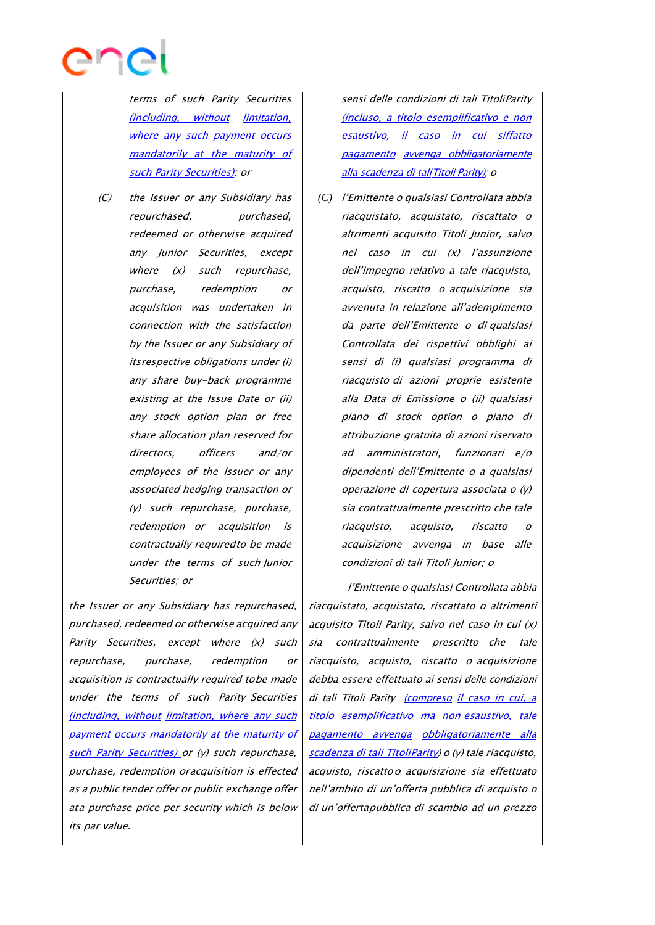

terms of such Parity Securities (including, without limitation, where any such payment occurs mandatorily at the maturity of such Parity Securities); or

(C) the Issuer or any Subsidiary has repurchased, purchased, redeemed or otherwise acquired any Junior Securities, except where  $(x)$  such repurchase, purchase, redemption or acquisition was undertaken in connection with the satisfaction by the Issuer or any Subsidiary of itsrespective obligations under (i) any share buy-back programme existing at the Issue Date or (ii) any stock option plan or free share allocation plan reserved for directors, officers and/or employees of the Issuer or any associated hedging transaction or (y) such repurchase, purchase, redemption or acquisition is contractually requiredto be made under the terms of such Junior Securities; or

the Issuer or any Subsidiary has repurchased, purchased, redeemed or otherwise acquired any Parity Securities, except where  $(x)$  such repurchase, purchase, redemption or acquisition is contractually required tobe made under the terms of such Parity Securities (including, without limitation, where any such payment occurs mandatorily at the maturity of such Parity Securities) or (y) such repurchase, purchase, redemption oracquisition is effected as <sup>a</sup> public tender offer or public exchange offer ata purchase price per security which is below its par value.

sensi delle condizioni di tali TitoliParity (incluso, a titolo esemplificativo e non esaustivo, il caso in cui siffatto pagamento avvenga obbligatoriamente alla scadenza di taliTitoli Parity); <sup>o</sup>

*(C)* l'Emittente <sup>o</sup> qualsiasi Controllata abbia riacquistato, acquistato, riscattato <sup>o</sup> altrimenti acquisito Titoli Junior, salvo nel caso in cui (x) l'assunzione dell'impegno relativo a tale riacquisto, acquisto, riscatto o acquisizione sia avvenuta in relazione all'adempimento da parte dell'Emittente o di qualsiasi Controllata dei rispettivi obblighi ai sensi di (i) qualsiasi programma di riacquisto di azioni proprie esistente alla Data di Emissione <sup>o</sup> (ii) qualsiasi piano di stock option <sup>o</sup> piano di attribuzione gratuita di azioni riservato ad amministratori, funzionari e/o dipendenti dell'Emittente <sup>o</sup> <sup>a</sup> qualsiasi operazione di copertura associata o (y) sia contrattualmente prescritto che tale riacquisto, acquisto, riscatto o acquisizione avvenga in base alle condizioni di tali Titoli Junior; <sup>o</sup>

l'Emittente <sup>o</sup> qualsiasi Controllata abbia riacquistato, acquistato, riscattato <sup>o</sup> altrimenti acquisito Titoli Parity, salvo nel caso in cui (x) sia contrattualmente prescritto che tale riacquisto, acquisto, riscatto <sup>o</sup> acquisizione debba essere effettuato ai sensi delle condizioni di tali Titoli Parity (compreso il caso in cui, a titolo esemplificativo ma non esaustivo, tale pagamento avvenga obbligatoriamente alla scadenza di tali TitoliParity) <sup>o</sup> (y) tale riacquisto, acquisto, riscattoo acquisizione sia effettuato nell'ambito di un'offerta pubblica di acquisto <sup>o</sup> di un'offertapubblica di scambio ad un prezzo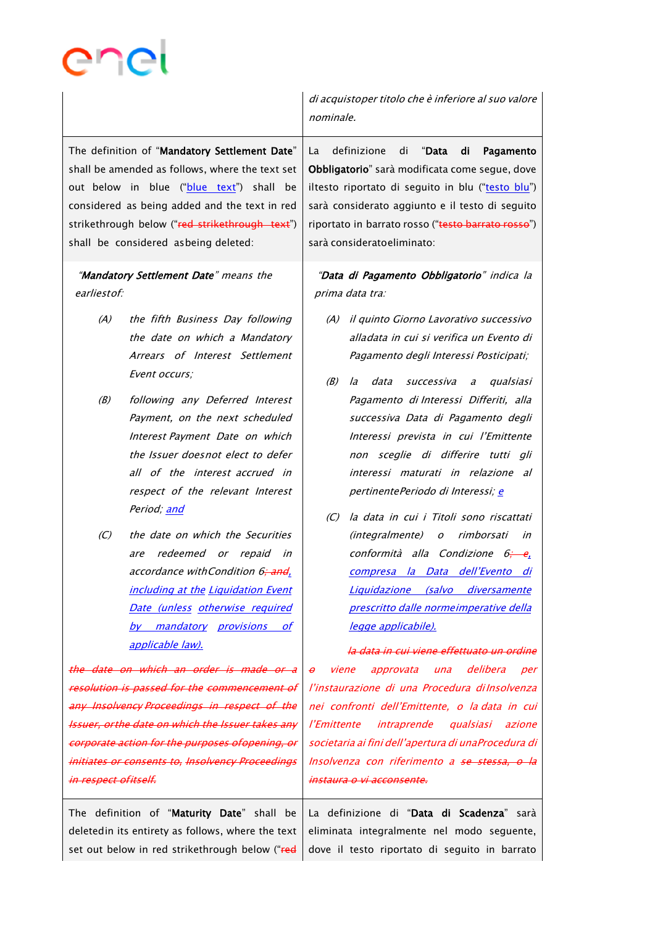|                                                                                                                                                                                                                                                                                         | di acquistoper titolo che è inferiore al suo valore<br>nominale.                                                                                                                                                                                                                                                                              |
|-----------------------------------------------------------------------------------------------------------------------------------------------------------------------------------------------------------------------------------------------------------------------------------------|-----------------------------------------------------------------------------------------------------------------------------------------------------------------------------------------------------------------------------------------------------------------------------------------------------------------------------------------------|
| The definition of "Mandatory Settlement Date"<br>shall be amended as follows, where the text set<br>out below in blue ("blue text") shall be<br>considered as being added and the text in red<br>strikethrough below ("red strikethrough text")<br>shall be considered asbeing deleted: | definizione<br>di<br>"Data<br>di<br>Pagamento<br>La<br>Obbligatorio" sarà modificata come segue, dove<br>iltesto riportato di seguito in blu ("testo blu")<br>sarà considerato aggiunto e il testo di seguito<br>riportato in barrato rosso ("testo barrato rosso")<br>sarà consideratoeliminato:                                             |
| "Mandatory Settlement Date" means the<br>earliest of:                                                                                                                                                                                                                                   | "Data di Pagamento Obbligatorio" indica la<br>prima data tra:                                                                                                                                                                                                                                                                                 |
| (A)<br>the fifth Business Day following<br>the date on which a Mandatory<br>Arrears of Interest Settlement<br>Event occurs;                                                                                                                                                             | (A) il quinto Giorno Lavorativo successivo<br>alladata in cui si verifica un Evento di<br>Pagamento degli Interessi Posticipati;<br>(B)<br>data<br>qualsiasi<br>la<br>successiva<br>$\partial$                                                                                                                                                |
| following any Deferred Interest<br>(B)<br>Payment, on the next scheduled<br>Interest Payment Date on which<br>the Issuer doesnot elect to defer<br>all of the interest accrued in<br>respect of the relevant Interest<br>Period; and                                                    | Pagamento di Interessi Differiti, alla<br>successiva Data di Pagamento degli<br>Interessi prevista in cui l'Emittente<br>non sceglie di differire tutti gli<br>interessi maturati in relazione al<br>pertinentePeriodo di Interessi; e                                                                                                        |
| the date on which the Securities<br>(C)<br>redeemed or repaid<br>are<br>in<br>accordance withCondition 6; and,<br><b>including at the Liquidation Event</b><br>Date (unless otherwise required<br>by mandatory provisions of<br>applicable law).                                        | la data in cui i Titoli sono riscattati<br>(C)<br>(integralmente)<br>o rimborsati<br>in<br>conformità alla Condizione 6;<br>-е.<br>compresa la Data dell'Evento di<br><u>Liquidazione (salvo diversamente</u><br>prescritto dalle normeimperative della<br><u>legge applicabile).</u><br><del>la data in cui viene effettuato un ordine</del> |
| the date on which an order is made or a                                                                                                                                                                                                                                                 | approvata una delibera<br>viene<br>per<br>$\boldsymbol{\theta}$                                                                                                                                                                                                                                                                               |
| resolution is passed for the commencement of                                                                                                                                                                                                                                            | l'instaurazione di una Procedura di Insolvenza                                                                                                                                                                                                                                                                                                |
| <del>any Insolvency-Proceedings in respect of the</del>                                                                                                                                                                                                                                 | nei confronti dell'Emittente, o la data in cui                                                                                                                                                                                                                                                                                                |
| <b>Issuer, orthe date on which the Issuer takes any</b>                                                                                                                                                                                                                                 | l'Emittente intraprende qualsiasi azione                                                                                                                                                                                                                                                                                                      |
| corporate action for the purposes ofopening, or                                                                                                                                                                                                                                         | societaria ai fini dell'apertura di unaProcedura di                                                                                                                                                                                                                                                                                           |
| initiates or consents to, Insolvency Proceedings                                                                                                                                                                                                                                        | Insolvenza con riferimento a <del>se stessa, o la</del>                                                                                                                                                                                                                                                                                       |
| <del>in respect ofitself.</del>                                                                                                                                                                                                                                                         | <del>instaura o vi acconsente.</del>                                                                                                                                                                                                                                                                                                          |

The definition of "Maturity Date" shall be deletedin its entirety as follows, where the text set out below in red strikethrough below ("red La definizione di "Data di Scadenza" sarà eliminata integralmente nel modo seguente, dove il testo riportato di seguito in barrato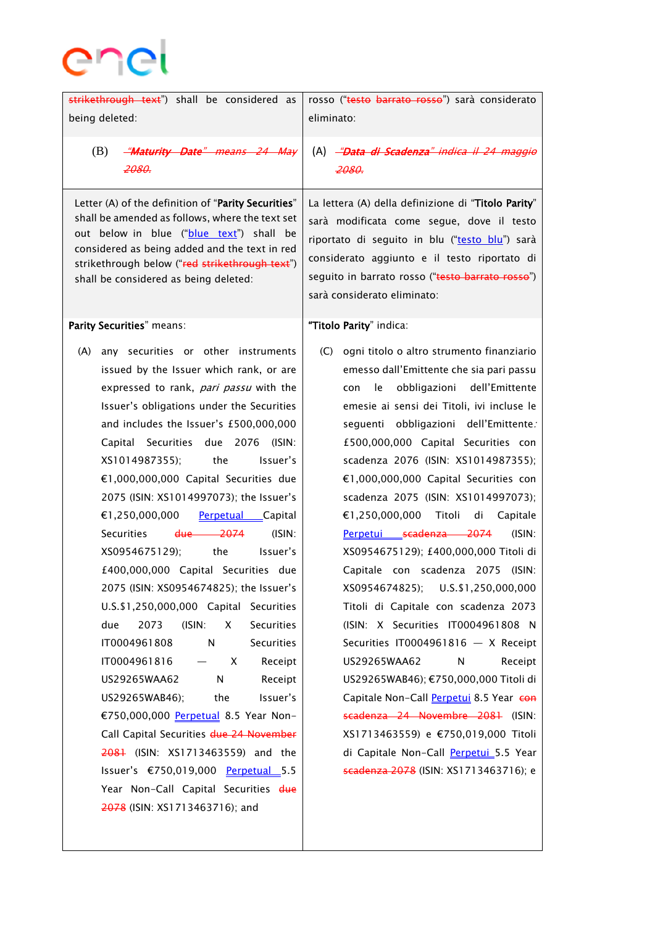

| strikethrough text") shall be considered as<br>being deleted:                                                                                                                                                                                                                                                                                                                                                                                                                                                                                                                                                                                                                                                                                                                                                                                                                                                                                                                                                              | rosso ("testo barrato rosso") sarà considerato<br>eliminato:                                                                                                                                                                                                                                                                                                                                                                                                                                                                                                                                                                                                                                                                                                                                                                                                                                                                                                                                                  |
|----------------------------------------------------------------------------------------------------------------------------------------------------------------------------------------------------------------------------------------------------------------------------------------------------------------------------------------------------------------------------------------------------------------------------------------------------------------------------------------------------------------------------------------------------------------------------------------------------------------------------------------------------------------------------------------------------------------------------------------------------------------------------------------------------------------------------------------------------------------------------------------------------------------------------------------------------------------------------------------------------------------------------|---------------------------------------------------------------------------------------------------------------------------------------------------------------------------------------------------------------------------------------------------------------------------------------------------------------------------------------------------------------------------------------------------------------------------------------------------------------------------------------------------------------------------------------------------------------------------------------------------------------------------------------------------------------------------------------------------------------------------------------------------------------------------------------------------------------------------------------------------------------------------------------------------------------------------------------------------------------------------------------------------------------|
| (B)<br>-"Maturity Date" means 24 May<br>2080.                                                                                                                                                                                                                                                                                                                                                                                                                                                                                                                                                                                                                                                                                                                                                                                                                                                                                                                                                                              | (A) - <del>"Data di Scadenza" indica il 24 maggio</del><br>2080.                                                                                                                                                                                                                                                                                                                                                                                                                                                                                                                                                                                                                                                                                                                                                                                                                                                                                                                                              |
| Letter (A) of the definition of "Parity Securities"<br>shall be amended as follows, where the text set<br>out below in blue ("blue text") shall be<br>considered as being added and the text in red<br>strikethrough below ("red strikethrough text")<br>shall be considered as being deleted:                                                                                                                                                                                                                                                                                                                                                                                                                                                                                                                                                                                                                                                                                                                             | La lettera (A) della definizione di "Titolo Parity"<br>sarà modificata come segue, dove il testo<br>riportato di seguito in blu ("testo blu") sarà<br>considerato aggiunto e il testo riportato di<br>seguito in barrato rosso ("testo barrato rosso")<br>sarà considerato eliminato:                                                                                                                                                                                                                                                                                                                                                                                                                                                                                                                                                                                                                                                                                                                         |
| Parity Securities" means:                                                                                                                                                                                                                                                                                                                                                                                                                                                                                                                                                                                                                                                                                                                                                                                                                                                                                                                                                                                                  | "Titolo Parity" indica:                                                                                                                                                                                                                                                                                                                                                                                                                                                                                                                                                                                                                                                                                                                                                                                                                                                                                                                                                                                       |
| any securities or other instruments<br>(A)<br>issued by the Issuer which rank, or are<br>expressed to rank, pari passu with the<br>Issuer's obligations under the Securities<br>and includes the Issuer's £500,000,000<br>Capital Securities due 2076 (ISIN:<br>XS1014987355); the<br>Issuer's<br>€1,000,000,000 Capital Securities due<br>2075 (ISIN: XS1014997073); the Issuer's<br>€1,250,000,000 Perpetual Capital<br>Securities<br>$due \t2074$<br>$(ISIN)$ :<br>XS0954675129); the<br>Issuer's<br>£400,000,000 Capital Securities due<br>2075 (ISIN: XS0954674825); the Issuer's<br>U.S.\$1,250,000,000 Capital Securities<br><b>Securities</b><br>due<br>2073<br>(ISIN:<br>X<br>IT0004961808<br>$\mathsf{N}$<br>Securities<br>IT0004961816<br>Receipt<br>X<br>$\qquad \qquad -$<br>US29265WAA62<br>N<br>Receipt<br>US29265WAB46);<br>the<br>Issuer's<br>€750,000,000 Perpetual 8.5 Year Non-<br>Call Capital Securities due 24 November<br>2081 (ISIN: XS1713463559) and the<br>Issuer's €750,019,000 Perpetual 5.5 | ogni titolo o altro strumento finanziario<br>(C) =<br>emesso dall'Emittente che sia pari passu<br>con le obbligazioni dell'Emittente<br>emesie ai sensi dei Titoli, ivi incluse le<br>seguenti obbligazioni dell'Emittente.<br>£500,000,000 Capital Securities con<br>scadenza 2076 (ISIN: XS1014987355);<br>€1,000,000,000 Capital Securities con<br>scadenza 2075 (ISIN: XS1014997073);<br>€1,250,000,000 Titoli di Capitale<br>Perpetui scadenza 2074<br>$(ISIN)$ :<br>XS0954675129); £400,000,000 Titoli di<br>$(ISIN)$ :<br>Capitale con scadenza 2075<br>U.S.\$1,250,000,000<br>XS0954674825);<br>Titoli di Capitale con scadenza 2073<br>(ISIN: X Securities IT0004961808 N<br>Securities IT0004961816 $-$ X Receipt<br>US29265WAA62<br>N<br>Receipt<br>US29265WAB46); €750,000,000 Titoli di<br>Capitale Non-Call Perpetui 8.5 Year con<br>scadenza 24 Novembre 2081 (ISIN:<br>XS1713463559) e €750,019,000 Titoli<br>di Capitale Non-Call Perpetui 5.5 Year<br>scadenza 2078 (ISIN: XS1713463716); e |
| Year Non-Call Capital Securities due<br>2078 (ISIN: XS1713463716); and                                                                                                                                                                                                                                                                                                                                                                                                                                                                                                                                                                                                                                                                                                                                                                                                                                                                                                                                                     |                                                                                                                                                                                                                                                                                                                                                                                                                                                                                                                                                                                                                                                                                                                                                                                                                                                                                                                                                                                                               |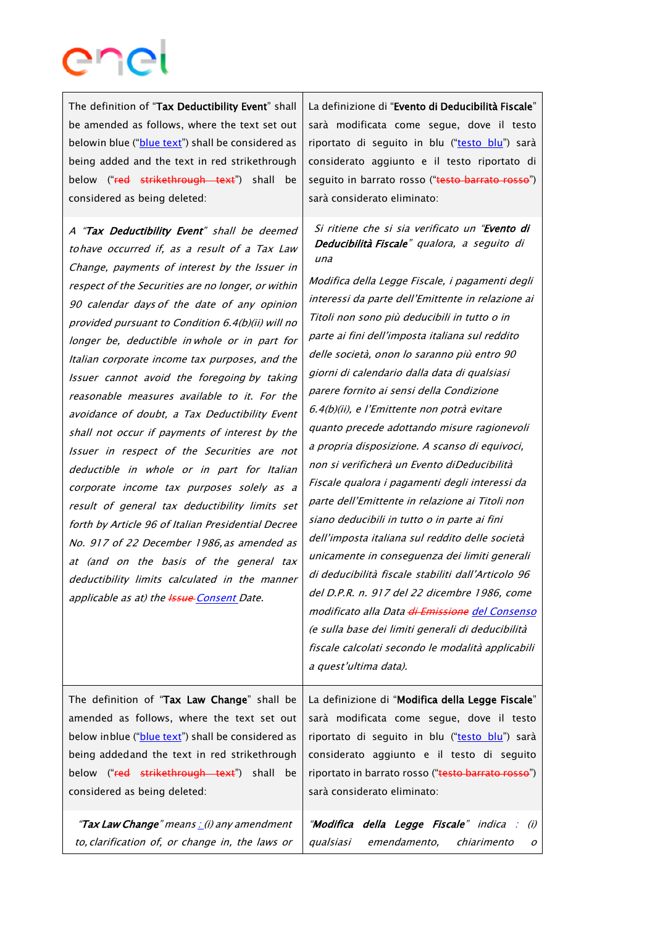The definition of "Tax Deductibility Event" shall be amended as follows, where the text set out belowin blue ("blue text") shall be considered as being added and the text in red strikethrough below ("red strikethrough text") shall be considered as being deleted:

A "Tax Deductibility Event" shall be deemed tohave occurred if, as <sup>a</sup> result of <sup>a</sup> Tax Law Change, payments of interest by the Issuer in respect of the Securities are no longer, or within 90 calendar days of the date of any opinion provided pursuant to Condition 6.4(b)(ii) will no longer be, deductible in whole or in part for Italian corporate income tax purposes, and the Issuer cannot avoid the foregoing by taking reasonable measures available to it. For the avoidance of doubt, a Tax Deductibility Event shall not occur if payments of interest by the Issuer in respect of the Securities are not deductible in whole or in part for Italian corporate income tax purposes solely as <sup>a</sup> result of general tax deductibility limits set forth by Article 96 of Italian Presidential Decree No. 917 of 22 December 1986,as amended as at (and on the basis of the general tax deductibility limits calculated in the manner applicable as at) the **Issue** Consent Date.

La definizione di "Evento di Deducibilità Fiscale" sarà modificata come segue, dove il testo riportato di seguito in blu ("testo blu") sarà considerato aggiunto e il testo riportato di seguito in barrato rosso ("testo barrato rosso") sarà considerato eliminato:

Si ritiene che si sia verificato un "Evento di Deducibilità Fiscale" qualora, <sup>a</sup> seguito di una

Modifica della Legge Fiscale, i pagamenti degli interessi da parte dell'Emittente in relazione ai Titoli non sono più deducibili in tutto o in parte ai fini dell'imposta italiana sul reddito delle società, onon lo saranno più entro 90 giorni di calendario dalla data di qualsiasi parere fornito ai sensi della Condizione 6.4(b)(ii), <sup>e</sup> l'Emittente non potrà evitare quanto precede adottando misure ragionevoli <sup>a</sup> propria disposizione. A scanso di equivoci, non si verificherà un Evento diDeducibilità Fiscale qualora i pagamenti degli interessi da parte dell'Emittente in relazione ai Titoli non siano deducibili in tutto o in parte ai fini dell'imposta italiana sul reddito delle società unicamente in conseguenza dei limiti generali di deducibilità fiscale stabiliti dall'Articolo 96 del D.P.R. n. 917 del 22 dicembre 1986, come modificato alla Data di Emissione del Consenso (e sulla base dei limiti generali di deducibilità fiscale calcolati secondo le modalità applicabili <sup>a</sup> quest'ultima data).

The definition of "Tax Law Change" shall be amended as follows, where the text set out below inblue ("blue text") shall be considered as being addedand the text in red strikethrough below ("red strikethrough text") shall be considered as being deleted:

"Tax Law Change" means : (i) any amendment

La definizione di "Modifica della Legge Fiscale" sarà modificata come segue, dove il testo riportato di seguito in blu ("testo blu") sarà considerato aggiunto e il testo di seguito riportato in barrato rosso ("testo barrato rosso") sarà considerato eliminato:

to, clarification of, or change in, the laws or "Modifica della Legge Fiscale" indica : (i) qualsiasi emendamento, chiarimento <sup>o</sup>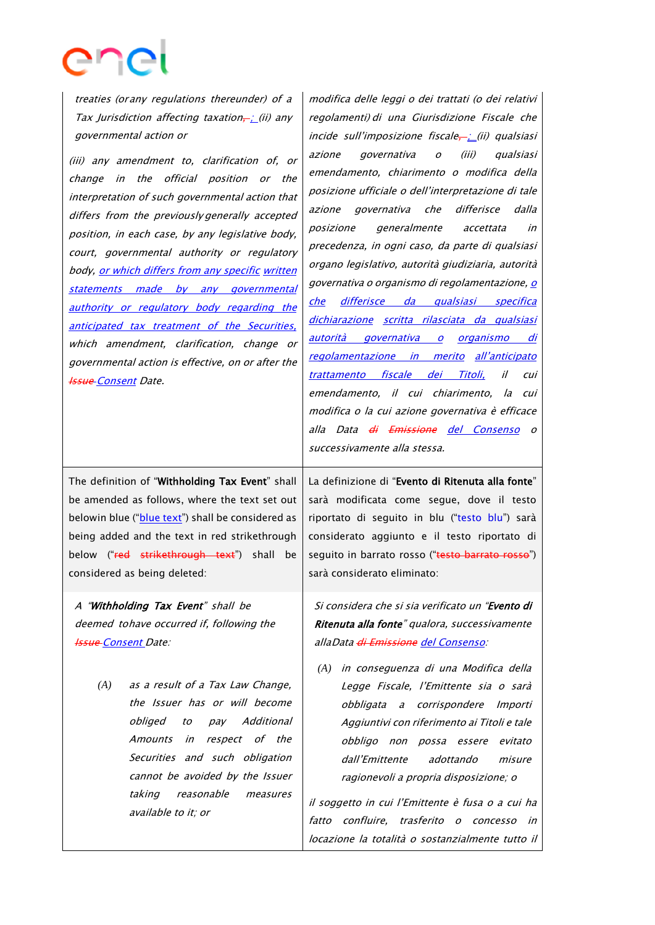treaties (orany regulations thereunder) of a Tax Jurisdiction affecting taxation $\div$ ; (ii) any governmental action or

(iii) any amendment to, clarification of, or change in the official position or the interpretation of such governmental action that differs from the previously generally accepted position, in each case, by any legislative body, court, governmental authority or regulatory body, or which differs from any specific written statements made by any governmental authority or regulatory body regarding the anticipated tax treatment of the Securities, which amendment, clarification, change or governmental action is effective, on or after the **Issue Consent Date.** 

The definition of "Withholding Tax Event" shall be amended as follows, where the text set out belowin blue ("blue text") shall be considered as being added and the text in red strikethrough below ("red strikethrough text") shall be considered as being deleted:

A "Withholding Tax Event" shall be deemed tohave occurred if, following the **Issue-Consent Date:** 

> *(A)* as a result of a Tax Law Change, the Issuer has or will become obliged to pay Additional Amounts in respect of the Securities and such obligation cannot be avoided by the Issuer taking reasonable measures available to it; or

modifica delle leggi o dei trattati (o dei relativi regolamenti) di una Giurisdizione Fiscale che incide sull'imposizione fiscale $\frac{1}{r}$ (ii) qualsiasi azione governativa <sup>o</sup> (iii) qualsiasi emendamento, chiarimento o modifica della posizione ufficiale o dell'interpretazione di tale azione governativa che differisce dalla posizione generalmente accettata in precedenza, in ogni caso, da parte di qualsiasi organo legislativo, autorità giudiziaria, autorità governativa o organismo di regolamentazione, o che differisce da qualsiasi specifica dichiarazione scritta rilasciata da qualsiasi autorità governativa o organismo di regolamentazione in merito all'anticipato trattamento fiscale dei Titoli, il cui emendamento, il cui chiarimento, la cui modifica o la cui azione governativa è efficace alla Data di Emissione del Consenso o

La definizione di "Evento di Ritenuta alla fonte" sarà modificata come segue, dove il testo riportato di seguito in blu ("testo blu") sarà considerato aggiunto e il testo riportato di sequito in barrato rosso ("testo barrato rosso") sarà considerato eliminato:

successivamente alla stessa.

Si considera che si sia verificato un "Evento di Ritenuta alla fonte" qualora, successivamente allaData di Emissione del Consenso:

*(A)* in conseguenza di una Modifica della Legge Fiscale, l'Emittente sia o sarà obbligata a corrispondere Importi Aggiuntivi con riferimento ai Titoli e tale obbligo non possa essere evitato dall'Emittente adottando misure ragionevoli <sup>a</sup> propria disposizione; <sup>o</sup>

il soggetto in cui l'Emittente è fusa o a cui ha fatto confluire, trasferito <sup>o</sup> concesso in locazione la totalità o sostanzialmente tutto il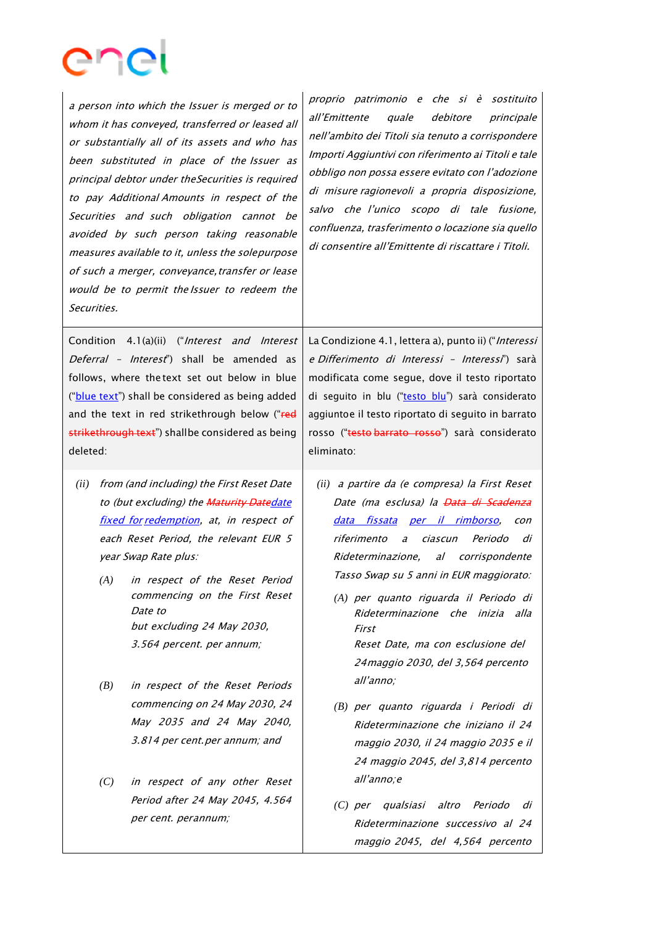<sup>a</sup> person into which the Issuer is merged or to whom it has conveyed, transferred or leased all or substantially all of its assets and who has been substituted in place of the Issuer as principal debtor under theSecurities is required to pay Additional Amounts in respect of the Securities and such obligation cannot be avoided by such person taking reasonable measures available to it, unless the solepurpose of such a merger, conveyance,transfer or lease would be to permit the Issuer to redeem the Securities. proprio patrimonio <sup>e</sup> che si è sostituito

Condition 4.1(a)(ii) ("Interest and Interest Deferral - Interest") shall be amended as follows, where the text set out below in blue ("blue text") shall be considered as being added and the text in red strikethrough below ("red strikethrough text") shallbe considered as being deleted:

- *(ii)* from (and including) the First Reset Date to (but excluding) the Maturity Datedate fixed for redemption, at, in respect of each Reset Period, the relevant EUR 5 year Swap Rate plus:
	- *(A)* in respect of the Reset Period commencing on the First Reset Date to but excluding 24 May 2030, 3.564 percent. per annum;
	- *(B)* in respect of the Reset Periods commencing on 24 May 2030, 24 May 2035 and 24 May 2040, 3.814 per cent.per annum; and
	- *(C)* in respect of any other Reset Period after 24 May 2045, 4.564 per cent. perannum;

all'Emittente quale debitore principale nell'ambito dei Titoli sia tenuto <sup>a</sup> corrispondere Importi Aggiuntivi con riferimento ai Titoli e tale obbligo non possa essere evitato con l'adozione di misure ragionevoli a propria disposizione, salvo che l'unico scopo di tale fusione, confluenza, trasferimento <sup>o</sup> locazione sia quello di consentire all'Emittente di riscattare i Titoli.

La Condizione 4.1, lettera a), punto ii) ("Interessi <sup>e</sup> Differimento di Interessi – Interessi") sarà modificata come segue, dove il testo riportato di seguito in blu ("testo blu") sarà considerato aggiuntoe il testo riportato di seguito in barrato rosso ("testo barrato rosso") sarà considerato eliminato:

- *(ii)* a partire da (e compresa) la First Reset Date (ma esclusa) la <del>Data di Scadenza</del> data fissata per il rimborso, con riferimento <sup>a</sup> ciascun Periodo di Rideterminazione, al corrispondente Tasso Swap su 5 anni in EUR maggiorato:
	- *(A)* per quanto riguarda il Periodo di Rideterminazione che inizia alla First Reset Date, ma con esclusione del 24maggio 2030, del 3,564 percento all'anno;
	- *(B)* per quanto riguarda <sup>i</sup> Periodi di Rideterminazione che iniziano il 24 maggio 2030, il 24 maggio 2035 e il 24 maggio 2045, del 3,814 percento all'anno;<sup>e</sup>
	- *(C)* per qualsiasi altro Periodo di Rideterminazione successivo al 24 maggio 2045, del 4,564 percento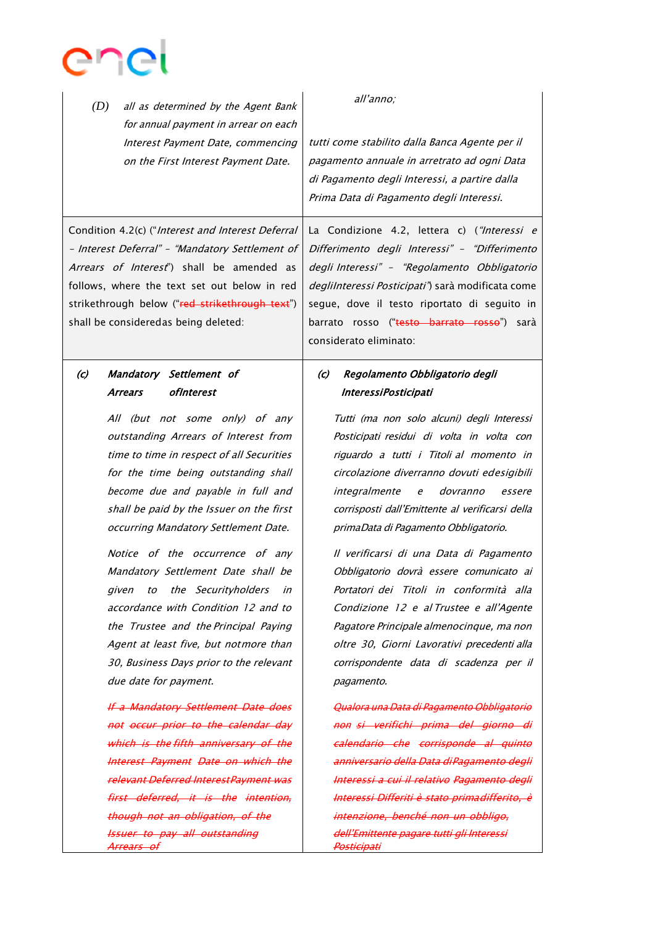

*(D)* all as determined by the Agent Bank for annual payment in arrear on each Interest Payment Date, commencing on the First Interest Payment Date.

all'anno;

tutti come stabilito dalla Banca Agente per il pagamento annuale in arretrato ad ogni Data di Pagamento degli Interessi, a partire dalla Prima Data di Pagamento degli Interessi.

La Condizione 4.2, lettera c) ("Interessi e Differimento degli Interessi" – "Differimento degli Interessi" – "Regolamento Obbligatorio degliInteressi Posticipati") sarà modificata come segue, dove il testo riportato di seguito in

Condition 4.2(c) ("Interest and Interest Deferral – Interest Deferral" – "Mandatory Settlement of Arrears of Interest") shall be amended as follows, where the text set out below in red strikethrough below ("red strikethrough text") shall be consideredas being deleted:

# (c) Mandatory Settlement of Arrears of Interest

All (but not some only) of any outstanding Arrears of Interest from time to time in respect of all Securities for the time being outstanding shall become due and payable in full and shall be paid by the Issuer on the first occurring Mandatory Settlement Date.

Notice of the occurrence of any Mandatory Settlement Date shall be given to the Securityholders in accordance with Condition 12 and to the Trustee and the Principal Paying Agent at least five, but notmore than 30, Business Days prior to the relevant due date for payment.

If <sup>a</sup> Mandatory Settlement Date does not occur prior to the calendar day which is the fifth anniversary of the Interest Payment Date on which the relevant Deferred InterestPayment was first deferred, it is the intention, though not an obligation, of the Issuer to pay all outstanding Arrears of

barrato rosso ("testo barrato rosso") sarà considerato eliminato:

## (c) Regolamento Obbligatorio degli Interessi Posticipati

Tutti (ma non solo alcuni) degli Interessi Posticipati residui di volta in volta con riguardo a tutti i Titoli al momento in circolazione diverranno dovuti edesigibili integralmente <sup>e</sup> dovranno essere corrisposti dall'Emittente al verificarsi della primaData di Pagamento Obbligatorio.

Il verificarsi di una Data di Pagamento Obbligatorio dovrà essere comunicato ai Portatori dei Titoli in conformità alla Condizione 12 e al Trustee e all'Agente Pagatore Principale almenocinque, ma non oltre 30, Giorni Lavorativi precedenti alla corrispondente data di scadenza per il pagamento.

Qualora una Data di Pagamento Obbligatorio non si verifichi prima del giorno di calendario che corrisponde al quinto anniversario della Data diPagamento degli Interessi <sup>a</sup> cui il relativo Pagamento degli Interessi Differiti è stato primadifferito, è intenzione, benché non un obbligo, dell'Emittente pagare tutti gli Interessi Posticipati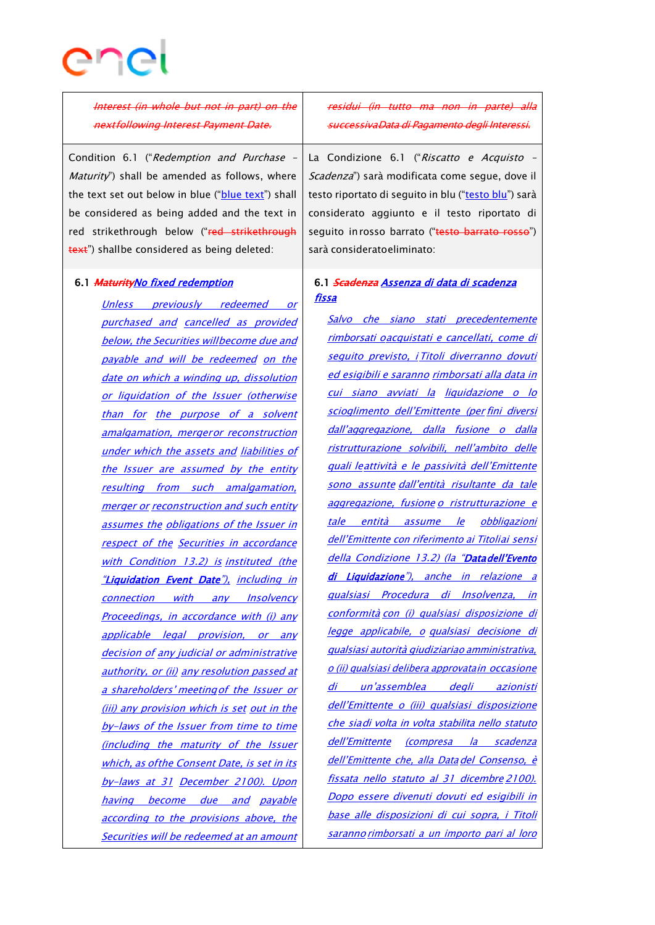# enc

Interest (in whole but not in part) on the nextfollowing Interest Payment Date.

Condition 6.1 ("Redemption and Purchase – *Maturity*") shall be amended as follows, where the text set out below in blue ("blue text") shall be considered as being added and the text in red strikethrough below ("red strikethrough text") shallbe considered as being deleted:

#### 6.1 MaturityNo fixed redemption

Unless previously redeemed or purchased and cancelled as provided below, the Securities willbecome due and payable and will be redeemed on the date on which a winding up, dissolution or liquidation of the Issuer (otherwise than for the purpose of a solvent amalgamation, mergeror reconstruction under which the assets and liabilities of the Issuer are assumed by the entity resulting from such amalgamation, merger or reconstruction and such entity assumes the obligations of the Issuer in respect of the Securities in accordance with Condition 13.2) is instituted (the "Liquidation Event Date"), including in connection with any Insolvency Proceedings, in accordance with (i) any applicable legal provision, or any decision of any judicial or administrative authority, or (ii) any resolution passed at <sup>a</sup> shareholders' meetingof the Issuer or (iii) any provision which is set out in the by-laws of the Issuer from time to time (including the maturity of the Issuer which, as of the Consent Date, is set in its by-laws at 31 December 2100). Upon having become due and payable according to the provisions above, the Securities will be redeemed at an amount

residui (in tutto ma non in parte) alla successivaData di Pagamento degli Interessi.

La Condizione 6.1 ("Riscatto e Acquisto -Scadenza") sarà modificata come segue, dove il testo riportato di seguito in blu ("testo blu") sarà considerato aggiunto e il testo riportato di sequito inrosso barrato ("testo barrato rosso") sarà consideratoeliminato:

# 6.1 Scadenza Assenza di data di scadenza fissa

Salvo che siano stati precedentemente rimborsati oacquistati <sup>e</sup> cancellati, come di seguito previsto, i Titoli diverranno dovuti ed esigibili e saranno rimborsati alla data in cui siano avviati la liquidazione o lo scioglimento dell'Emittente (per fini diversi dall'aggregazione, dalla fusione o dalla ristrutturazione solvibili, nell'ambito delle quali leattività e le passività dell'Emittente sono assunte dall'entità risultante da tale aggregazione, fusione <sup>o</sup> ristrutturazione <sup>e</sup> tale entità assume le obbligazioni dell'Emittente con riferimento ai Titoliai sensi della Condizione 13.2) (la "Data dell'Evento di Liquidazione"), anche in relazione a qualsiasi Procedura di Insolvenza, in conformità con (i) qualsiasi disposizione di legge applicabile, <sup>o</sup> qualsiasi decisione di qualsiasi autorità giudiziaria<sup>o</sup> amministrativa, <sup>o</sup> (ii) qualsiasi delibera approvatain occasione di un'assemblea degli azionisti dell'Emittente <sup>o</sup> (iii) qualsiasi disposizione che siadi volta in volta stabilita nello statuto dell'Emittente (compresa la scadenza dell'Emittente che, alla Data del Consenso, è fissata nello statuto al 31 dicembre 2100). Dopo essere divenuti dovuti ed esigibili in base alle disposizioni di cui sopra, i Titoli saranno rimborsati <sup>a</sup> un importo pari al loro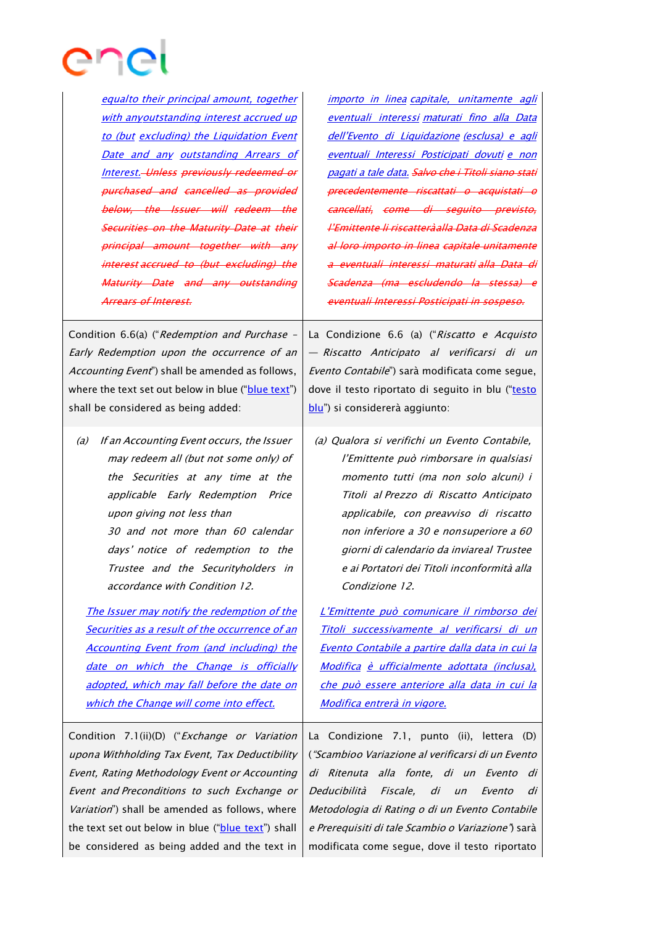

equalto their principal amount, together with anyoutstanding interest accrued up to (but excluding) the Liquidation Event Date and any outstanding Arrears of Interest. Unless previously redeemed or purchased and cancelled as provided below, the Issuer will redeem the Securities on the Maturity Date at their principal amount together with interest accrued to (but excluding) the Maturity Date and any outstanding Arrears of Interest.

importo in linea capitale, unitamente agli eventuali interessi maturati fino alla Data dell'Evento di Liquidazione (esclusa) <sup>e</sup> agli eventuali Interessi Posticipati dovuti <sup>e</sup> non pagati <sup>a</sup> tale data. Salvo che i Titoli siano stati precedentemente riscattati o acquistati o cancellati, come di seguito previsto, l'Emittente li riscatteràalla Data di Scadenza al loro importo in linea capitale unitamente a eventuali interessi maturati alla Data di Scadenza (ma escludendo la stessa) eventuali Interessi Posticipati in sospeso.

Condition 6.6(a) ("Redemption and Purchase – Early Redemption upon the occurrence of an Accounting Event") shall be amended as follows, where the text set out below in blue ("blue text") shall be considered as being added:

(a) If an Accounting Event occurs, the Issuer may redeem all (but not some only) of the Securities at any time at the applicable Early Redemption Price upon giving not less than 30 and not more than 60 calendar days' notice of redemption to the Trustee and the Securityholders in accordance with Condition 12.

The Issuer may notify the redemption of the Securities as a result of the occurrence of an Accounting Event from (and including) the date on which the Change is officially adopted, which may fall before the date on which the Change will come into effect.

Condition 7.1(ii)(D) ("Exchange or Variation upona Withholding Tax Event, Tax Deductibility Event, Rating Methodology Event or Accounting Event and Preconditions to such Exchange or Variation") shall be amended as follows, where the text set out below in blue ("blue text") shall be considered as being added and the text in

La Condizione 6.6 (a) ("Riscatto e Acquisto — Riscatto Anticipato al verificarsi di un Evento Contabile") sarà modificata come segue, dove il testo riportato di seguito in blu ("testo blu") si considererà aggiunto:

(a) Qualora si verifichi un Evento Contabile, l'Emittente può rimborsare in qualsiasi momento tutti (ma non solo alcuni) i Titoli al Prezzo di Riscatto Anticipato applicabile, con preavviso di riscatto non inferiore a 30 e nonsuperiore <sup>a</sup> 60 giorni di calendario da inviareal Trustee <sup>e</sup> ai Portatori dei Titoli inconformità alla Condizione 12.

L'Emittente può comunicare il rimborso dei Titoli successivamente al verificarsi di un Evento Contabile <sup>a</sup> partire dalla data in cui la Modifica è ufficialmente adottata (inclusa), che può essere anteriore alla data in cui la Modifica entrerà in vigore.

La Condizione 7.1, punto (ii), lettera (D) ("Scambioo Variazione al verificarsi di un Evento di Ritenuta alla fonte, di un Evento di Deducibilità Fiscale, di un Evento di Metodologia di Rating o di un Evento Contabile <sup>e</sup> Prerequisiti di tale Scambio <sup>o</sup> Variazione") sarà modificata come segue, dove il testo riportato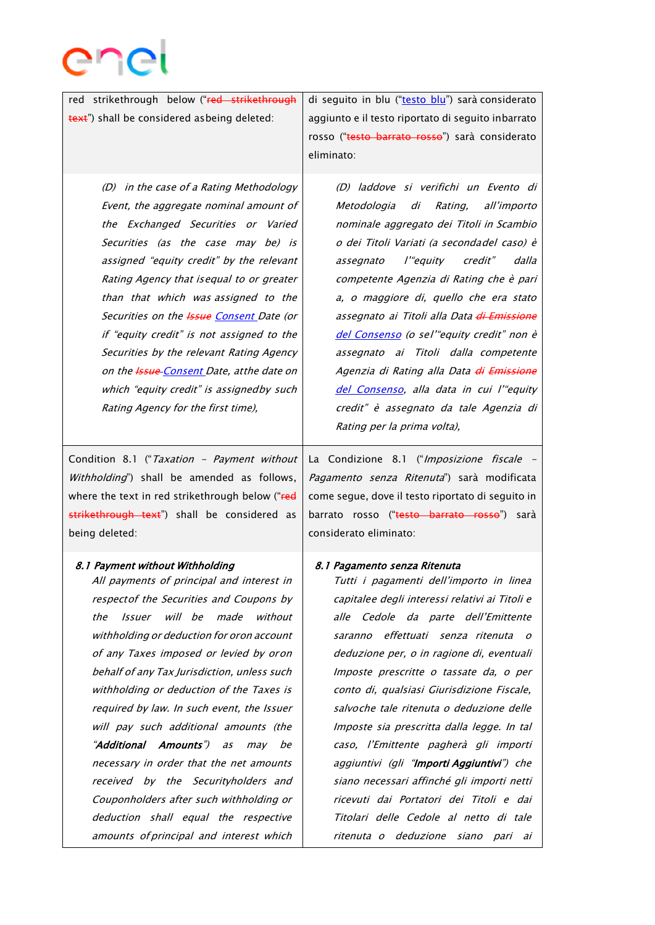

red strikethrough below ("red strikethrough text") shall be considered asbeing deleted:

> (D) in the case of a Rating Methodology Event, the aggregate nominal amount of the Exchanged Securities or Varied Securities (as the case may be) is assigned "equity credit" by the relevant Rating Agency that isequal to or greater than that which was assigned to the Securities on the **Issue Consent** Date (or if "equity credit" is not assigned to the Securities by the relevant Rating Agency on the **Issue** Consent Date, at the date on which "equity credit" is assignedby such Rating Agency for the first time),

Condition 8.1 ("Taxation - Payment without Withholding") shall be amended as follows, where the text in red strikethrough below ("red strikethrough text") shall be considered as being deleted:

#### 8.1 Payment without Withholding

All payments of principal and interest in respectof the Securities and Coupons by the Issuer will be made without withholding or deduction for oron account of any Taxes imposed or levied by oron behalf of any Tax Jurisdiction, unless such withholding or deduction of the Taxes is required by law. In such event, the Issuer will pay such additional amounts (the "Additional Amounts") as may be necessary in order that the net amounts received by the Securityholders and Couponholders after such withholding or deduction shall equal the respective amounts of principal and interest which

di seguito in blu ("testo blu") sarà considerato aggiunto e il testo riportato di seguito inbarrato rosso ("testo barrato rosso") sarà considerato eliminato:

> (D) laddove si verifichi un Evento di Metodologia di Rating, all'importo nominale aggregato dei Titoli in Scambio <sup>o</sup> dei Titoli Variati (a secondadel caso) è assegnato l'"equity credit" dalla competente Agenzia di Rating che è pari a, o maggiore di, quello che era stato assegnato ai Titoli alla Data di Emissione del Consenso (o sel'"equity credit" non è assegnato ai Titoli dalla competente Agenzia di Rating alla Data di Emissione del Consenso, alla data in cui l'"equity credit" è assegnato da tale Agenzia di Rating per la prima volta),

La Condizione 8.1 ("Imposizione fiscale -Pagamento senza Ritenuta") sarà modificata come segue, dove il testo riportato di seguito in barrato rosso ("testo barrato rosso") sarà considerato eliminato:

#### 8.1 Pagamento senza Ritenuta

Tutti i pagamenti dell'importo in linea capitalee degli interessi relativi ai Titoli e alle Cedole da parte dell'Emittente saranno effettuati senza ritenuta <sup>o</sup> deduzione per, <sup>o</sup> in ragione di, eventuali Imposte prescritte o tassate da, o per conto di, qualsiasi Giurisdizione Fiscale, salvoche tale ritenuta o deduzione delle Imposte sia prescritta dalla legge. In tal caso, l'Emittente pagherà gli importi aggiuntivi (gli "Importi Aggiuntivi") che siano necessari affinché gli importi netti ricevuti dai Portatori dei Titoli e dai Titolari delle Cedole al netto di tale ritenuta o deduzione siano pari ai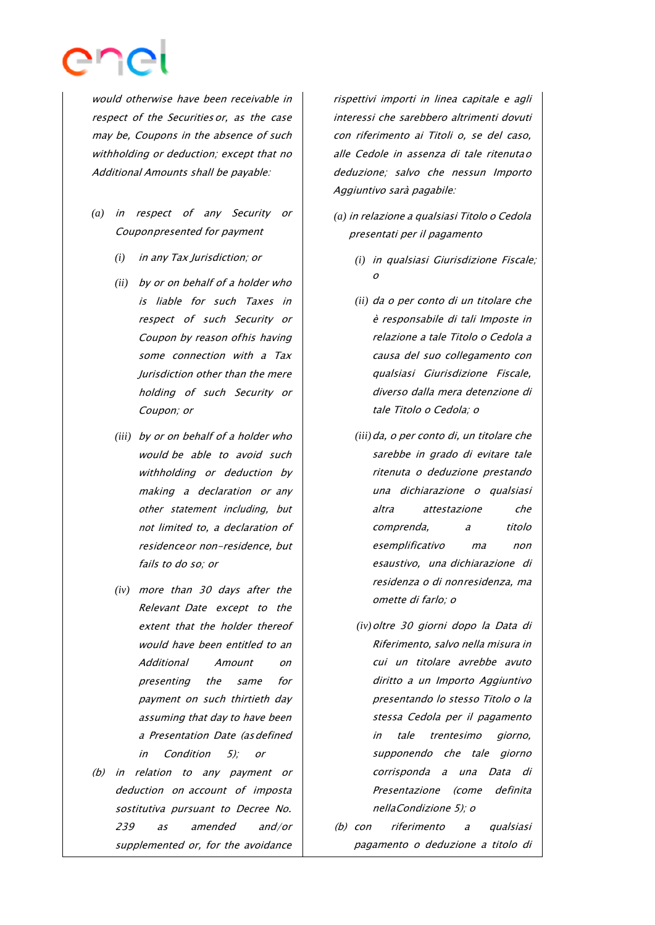

would otherwise have been receivable in respect of the Securities or, as the case may be, Coupons in the absence of such withholding or deduction; except that no Additional Amounts shall be payable:

- *(a)* in respect of any Security or Couponpresented for payment
	- *(i)* in any Tax Jurisdiction; or
	- *(ii)* by or on behalf of a holder who is liable for such Taxes in respect of such Security or Coupon by reason ofhis having some connection with a Tax Jurisdiction other than the mere holding of such Security or Coupon; or
	- *(iii)* by or on behalf of <sup>a</sup> holder who would be able to avoid such withholding or deduction by making <sup>a</sup> declaration or any other statement including, but not limited to, a declaration of residenceor non-residence, but fails to do so; or
	- *(iv)* more than 30 days after the Relevant Date except to the extent that the holder thereof would have been entitled to an Additional Amount on presenting the same for payment on such thirtieth day assuming that day to have been a Presentation Date (asdefined in Condition 5); or
- (b) in relation to any payment or deduction on account of imposta sostitutiva pursuant to Decree No. 239 as amended and/or supplemented or, for the avoidance

rispettivi importi in linea capitale e agli interessi che sarebbero altrimenti dovuti con riferimento ai Titoli o, se del caso, alle Cedole in assenza di tale ritenutao deduzione; salvo che nessun Importo Aggiuntivo sarà pagabile:

- *(a)* in relazione a qualsiasi Titolo o Cedola presentati per il pagamento
	- *(i)* in qualsiasi Giurisdizione Fiscale; o
	- *(ii)* da o per conto di un titolare che è responsabile di tali Imposte in relazione a tale Titolo o Cedola a causa del suo collegamento con qualsiasi Giurisdizione Fiscale, diverso dalla mera detenzione di tale Titolo o Cedola; <sup>o</sup>
	- *(iii)*da, <sup>o</sup> per conto di, un titolare che sarebbe in grado di evitare tale ritenuta <sup>o</sup> deduzione prestando una dichiarazione <sup>o</sup> qualsiasi altra attestazione che comprenda, a titolo esemplificativo ma non esaustivo, una dichiarazione di residenza <sup>o</sup> di nonresidenza, ma omette di farlo; <sup>o</sup>
	- *(iv)*oltre 30 giorni dopo la Data di Riferimento, salvo nella misura in cui un titolare avrebbe avuto diritto a un Importo Aggiuntivo presentando lo stesso Titolo o la stessa Cedola per il pagamento in tale trentesimo giorno, supponendo che tale giorno corrisponda <sup>a</sup> una Data di Presentazione (come definita nellaCondizione 5); <sup>o</sup>
- (b) con riferimento a qualsiasi pagamento o deduzione a titolo di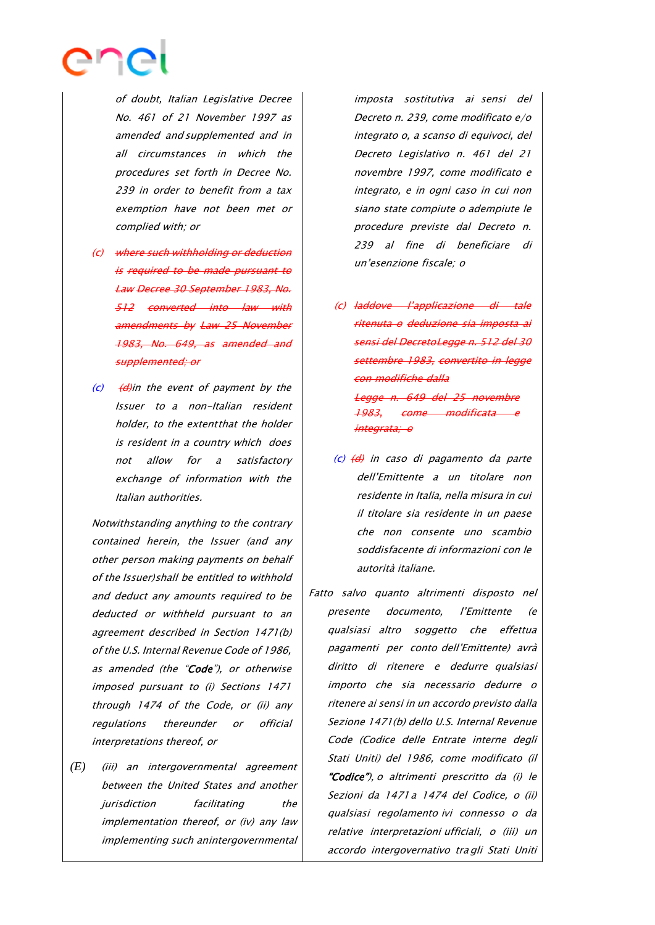

of doubt, Italian Legislative Decree No. 461 of 21 November 1997 as amended and supplemented and in all circumstances in which the procedures set forth in Decree No. 239 in order to benefit from <sup>a</sup> tax exemption have not been met or complied with; or

- (c) where such withholding or deduction is required to be made pursuant to Law Decree 30 September 1983, No. 512 converted into law with amendments by Law 25 November 1983, No. 649, as amended and supplemented; or
- $(c)$   $(d)$  in the event of payment by the Issuer to a non-Italian resident holder, to the extentthat the holder is resident in a country which does not allow for <sup>a</sup> satisfactory exchange of information with the Italian authorities.

Notwithstanding anything to the contrary contained herein, the Issuer (and any other person making payments on behalf of the Issuer)shall be entitled to withhold and deduct any amounts required to be deducted or withheld pursuant to an agreement described in Section 1471(b) of the U.S. Internal Revenue Code of 1986, as amended (the "Code"), or otherwise imposed pursuant to (i) Sections 1471 through 1474 of the Code, or (ii) any regulations thereunder or official interpretations thereof, or

*(E)* (iii) an intergovernmental agreement between the United States and another jurisdiction facilitating the implementation thereof, or (iv) any law implementing such anintergovernmental imposta sostitutiva ai sensi del Decreto n. 239, come modificato e/o integrato o, a scanso di equivoci, del Decreto Legislativo n. 461 del 21 novembre 1997, come modificato <sup>e</sup> integrato, e in ogni caso in cui non siano state compiute o adempiute le procedure previste dal Decreto n. 239 al fine di beneficiare di un'esenzione fiscale; <sup>o</sup>

- (c) laddove l'applicazione di tale ritenuta o deduzione sia imposta ai sensi del DecretoLegge n. 512 del 30 settembre 1983, convertito in legge con modifiche dalla Legge n. 649 del 25 novembre 1983, come modificata <sup>e</sup> *integrata:*
- $(c)$   $(d)$  in caso di pagamento da parte dell'Emittente a un titolare non residente in Italia, nella misura in cui il titolare sia residente in un paese che non consente uno scambio soddisfacente di informazioni con le autorità italiane.

Fatto salvo quanto altrimenti disposto nel presente documento, l'Emittente (e qualsiasi altro soggetto che effettua pagamenti per conto dell'Emittente) avrà diritto di ritenere <sup>e</sup> dedurre qualsiasi importo che sia necessario dedurre o ritenere ai sensi in un accordo previsto dalla Sezione 1471(b) dello U.S. Internal Revenue Code (Codice delle Entrate interne degli Stati Uniti) del 1986, come modificato (il "Codice"), o altrimenti prescritto da (i) le Sezioni da 1471a 1474 del Codice, o (ii) qualsiasi regolamento ivi connesso <sup>o</sup> da relative interpretazioni ufficiali, o (iii) un accordo intergovernativo tra gli Stati Uniti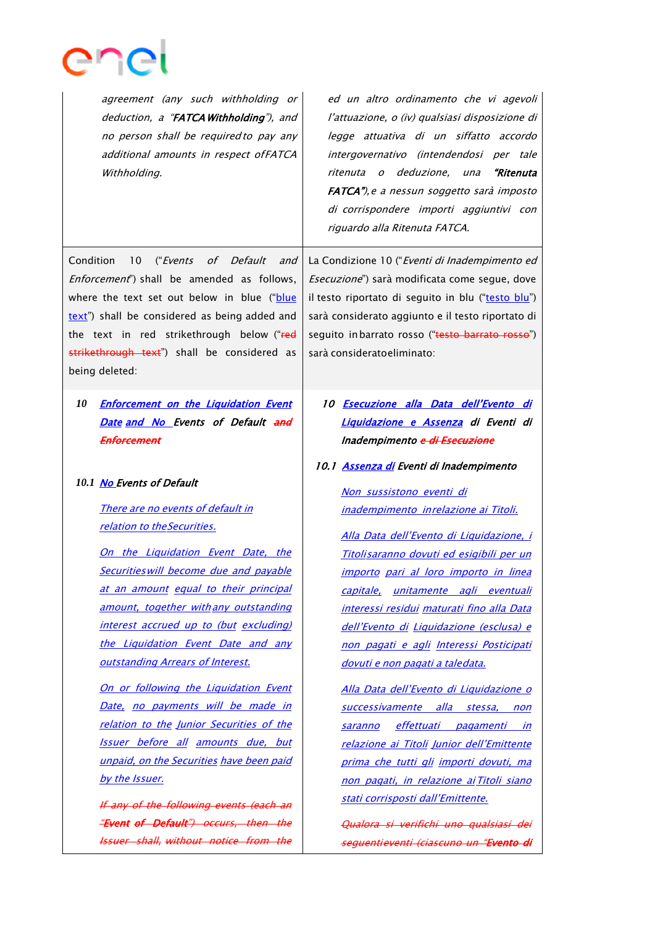

| agreement (any such withholding or<br>deduction, a "FATCA Withholding"), and<br>no person shall be required to pay any<br>additional amounts in respect ofFATCA<br>Withholding.                                                                                                                                                                                                                                                                                                                                                                                                                                                                                                                                                                  | ed un altro ordinamento che vi agevoli<br>l'attuazione, o (iv) qualsiasi disposizione di<br>legge attuativa di un siffatto accordo<br>intergovernativo (intendendosi per tale<br>ritenuta o deduzione, una<br>"Ritenuta<br>FATCA"), e a nessun soggetto sarà imposto<br>di corrispondere importi aggiuntivi con<br>riguardo alla Ritenuta FATCA.                                                                                                                                                                                                                                                                                                                                                                                                                                                                               |
|--------------------------------------------------------------------------------------------------------------------------------------------------------------------------------------------------------------------------------------------------------------------------------------------------------------------------------------------------------------------------------------------------------------------------------------------------------------------------------------------------------------------------------------------------------------------------------------------------------------------------------------------------------------------------------------------------------------------------------------------------|--------------------------------------------------------------------------------------------------------------------------------------------------------------------------------------------------------------------------------------------------------------------------------------------------------------------------------------------------------------------------------------------------------------------------------------------------------------------------------------------------------------------------------------------------------------------------------------------------------------------------------------------------------------------------------------------------------------------------------------------------------------------------------------------------------------------------------|
| Condition<br>("Events<br>of Default<br>10<br>and<br><i>Enforcement</i> ") shall be amended as follows,<br>where the text set out below in blue ("blue<br>text") shall be considered as being added and<br>the text in red strikethrough below ("red<br>strikethrough text") shall be considered as<br>being deleted:                                                                                                                                                                                                                                                                                                                                                                                                                             | La Condizione 10 ("Eventi di Inadempimento ed<br>Esecuzione") sarà modificata come segue, dove<br>il testo riportato di seguito in blu ("testo blu")<br>sarà considerato aggiunto e il testo riportato di<br>seguito in barrato rosso ("testo barrato rosso")<br>sarà considerato eliminato:                                                                                                                                                                                                                                                                                                                                                                                                                                                                                                                                   |
| <b>Enforcement on the Liquidation Event</b><br>10<br>Date and No Events of Default and<br>Enforcement<br>10.1 No Events of Default                                                                                                                                                                                                                                                                                                                                                                                                                                                                                                                                                                                                               | 10 Esecuzione alla Data dell'Evento di<br>Liquidazione e Assenza di Eventi di<br>Inadempimento e di Esecuzione<br>10.1 Assenza di Eventi di Inadempimento                                                                                                                                                                                                                                                                                                                                                                                                                                                                                                                                                                                                                                                                      |
| There are no events of default in<br>relation to the Securities.<br>On the Liquidation Event Date, the<br><b>Securities will become due and payable</b><br>at an amount equal to their principal<br>amount, together with any outstanding<br>interest accrued up to (but excluding)<br>the Liquidation Event Date and any<br>outstanding Arrears of Interest.<br>On or following the Liquidation Event<br>Date, no payments will be made in<br>relation to the Junior Securities of the<br><b>Issuer before all amounts due, but</b><br>unpaid, on the Securities have been paid<br>by the Issuer.<br>If any of the following events (each an<br><del>"Event of Default") occurs, then the</del><br><b>Issuer shall, without notice from the</b> | Non sussistono eventi di<br>inadempimento inrelazione ai Titoli.<br>Alla Data dell'Evento di Liquidazione, i<br>Titolisaranno dovuti ed esigibili per un<br>importo pari al loro importo in linea<br><u>unitamente agli eventuali</u><br>capitale,<br>interessi residui maturati fino alla Data<br>dell'Evento di Liquidazione (esclusa) e<br>non pagati e agli Interessi Posticipati<br>dovuti e non pagati a taledata.<br><u>Alla Data dell'Evento di Liquidazione o</u><br><u>successivamente alla stessa, non</u><br><u>effettuati pagamenti in</u><br>saranno<br>relazione ai Titoli Junior dell'Emittente<br>prima che tutti gli importi dovuti, ma<br>non pagati, in relazione ai Titoli siano<br>stati corrisposti dall'Emittente.<br>Qualora și verifichi uno qualsiasi dei<br>seguentieventi (ciascuno un "Evento di |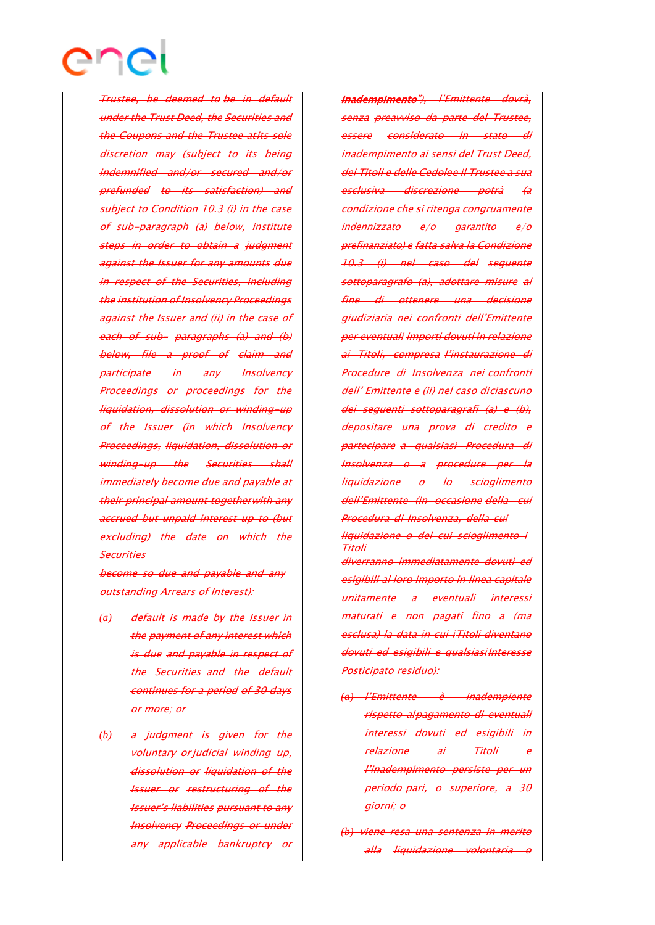

Trustee, be deemed to be in default under the Trust Deed, the Securities and the Coupons and the Trustee atits sole discretion may (subject to its being indemnified and/or secured and/or prefunded to its satisfaction) and subject to Condition 10.3 (i) in the case of sub-paragraph (a) below, institute steps in order to obtain a judgment against the Issuer for any amounts due in respect of the Securities, including the institution of Insolvency Proceedings against the Issuer and (ii) in the case of each of sub- paragraphs (a) and (b) below, file a proof of claim and participate in any Insolvency Proceedings or proceedings for the liquidation, dissolution or winding-up of the Issuer (in which Insolvency Proceedings, liquidation, dissolution or winding-up the Securities shall immediately become due and payable at their principal amount togetherwith any accrued but unpaid interest up to (but excluding) the date on which the **Securities** 

become so due and payable and any outstanding Arrears of Interest):

- *(a)* default is made by the Issuer in the payment of any interest which is due and payable in respect of the Securities and the default continues for a period of 30 days or more; or
- *(b)* <sup>a</sup> judgment is given for the voluntary or judicial winding up, dissolution or liquidation of the Issuer or restructuring of the Issuer's liabilities pursuant to any Insolvency Proceedings or under any applicable bankruptcy or

Inadempimento"), l'Emittente dovrà, senza preavviso da parte del Trustee, essere considerato in stato inadempimento ai sensi del Trust Deed, dei Titoli e delle Cedolee il Trustee a sua esclusiva discrezione potrà (a condizione che si ritenga congruamente indennizzato e/o garantito e/o prefinanziato) e fatta salva la Condizione 10.3 (i) nel caso del seguente sottoparagrafo (a), adottare misure al fine di ottenere una decisione giudiziaria nei confronti dell'Emittente per eventuali importi dovuti in relazione ai Titoli, compresa l'instaurazione di Procedure di Insolvenza nei confronti dell' Emittente <sup>e</sup> (ii) nel caso diciascuno dei seguenti sottoparagrafi (a) <sup>e</sup> (b), depositare una prova di credito e partecipare <sup>a</sup> qualsiasi Procedura di Insolvenza <sup>o</sup> <sup>a</sup> procedure per la liquidazione <sup>o</sup> lo scioglimento dell'Emittente (in occasione della cui Procedura di Insolvenza, della cui liquidazione <sup>o</sup> del cui scioglimento i Titoli diverranno immediatamente dovuti ed esigibili al loro importo in linea capitale unitamente a eventuali interessi maturati e non pagati fino a (ma esclusa) la data in cui iTitoli diventano dovuti ed esigibili <sup>e</sup> qualsiasiInteresse Posticipato residuo):

- *(a)* l'Emittente è inadempiente rispetto alpagamento di eventuali interessi dovuti ed esigibili in relazione ai Titoli l'inadempimento persiste per un periodo pari, o superiore, <sup>a</sup> 30 giorni; <sup>o</sup>
- *(b)* viene resa una sentenza in merito alla liquidazione volontaria <sup>o</sup>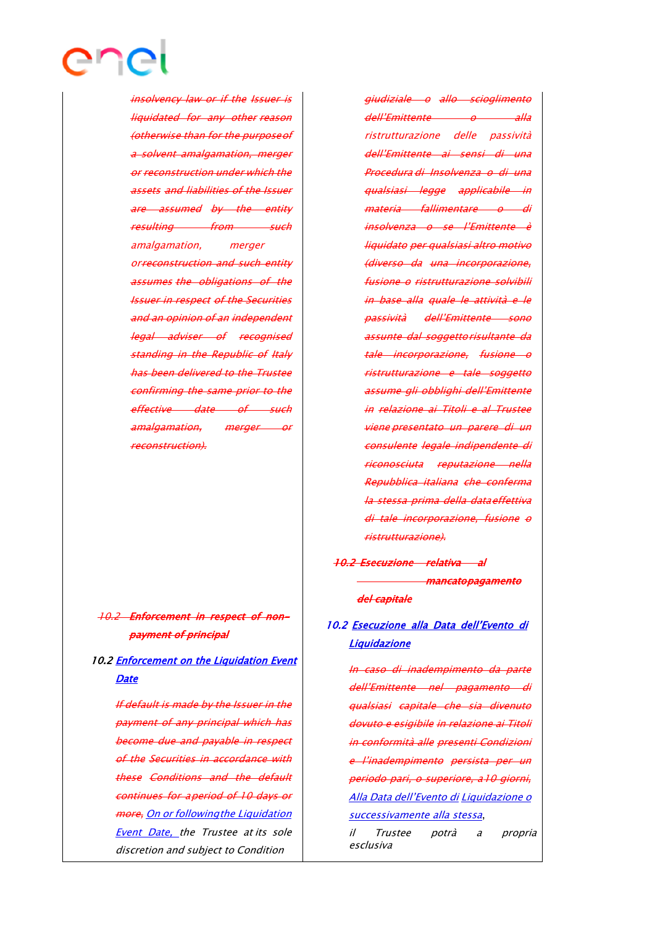insolvency law or if the Issuer is liquidated for any other reason (otherwise than for the purposeof a solvent amalgamation, merger or reconstruction under which the assets and liabilities of the Issuer are assumed by the entity resulting from such amalgamation, merger orreconstruction and such entity assumes the obligations of the Issuer in respect of the Securities and an opinion of an independent legal adviser of recognised standing in the Republic of Italy has been delivered to the Trustee confirming the same prior to the effective date of such amalgamation, merger or

enei

# 10.2 Enforcement in respect of nonpayment of principal

reconstruction).

# 10.2 Enforcement on the Liquidation Event **Date**

If default is made by the Issuer in the payment of any principal which has become due and payable in respect of the Securities in accordance with these Conditions and the default continues for aperiod of 10 days or more, On or following the Liquidation Event Date, the Trustee at its sole discretion and subject to Condition

giudiziale <sup>o</sup> allo scioglimento dell'Emittente o alla ristrutturazione delle passività dell'Emittente ai sensi di una Procedura di Insolvenza o di una qualsiasi legge applicabile in materia fallimentare o di insolvenza o se l'Emittente è liquidato per qualsiasi altro motivo (diverso da una incorporazione, fusione <sup>o</sup> ristrutturazione solvibili in base alla quale le attività <sup>e</sup> le passività dell'Emittente sono assunte dal soggettorisultante da tale incorporazione, fusione <sup>o</sup> ristrutturazione <sup>e</sup> tale soggetto assume gli obblighi dell'Emittente in relazione ai Titoli e al Trustee viene presentato un parere di un consulente legale indipendente di riconosciuta reputazione nella Repubblica italiana che conferma la stessa prima della dataeffettiva di tale incorporazione, fusione <sup>o</sup> ristrutturazione).

# 10.2 Esecuzione relativa al mancato pagamento del capitale

# 10.2 Esecuzione alla Data dell'Evento di Liquidazione

In caso di inadempimento da parte dell'Emittente nel pagamento di qualsiasi capitale che sia divenuto dovuto e esigibile in relazione ai Titoli in conformità alle presenti Condizioni <sup>e</sup> l'inadempimento persista per un periodo pari, o superiore, a10 giorni, Alla Data dell'Evento di Liquidazione <sup>o</sup> successivamente alla stessa,

il Trustee potrà a propria esclusiva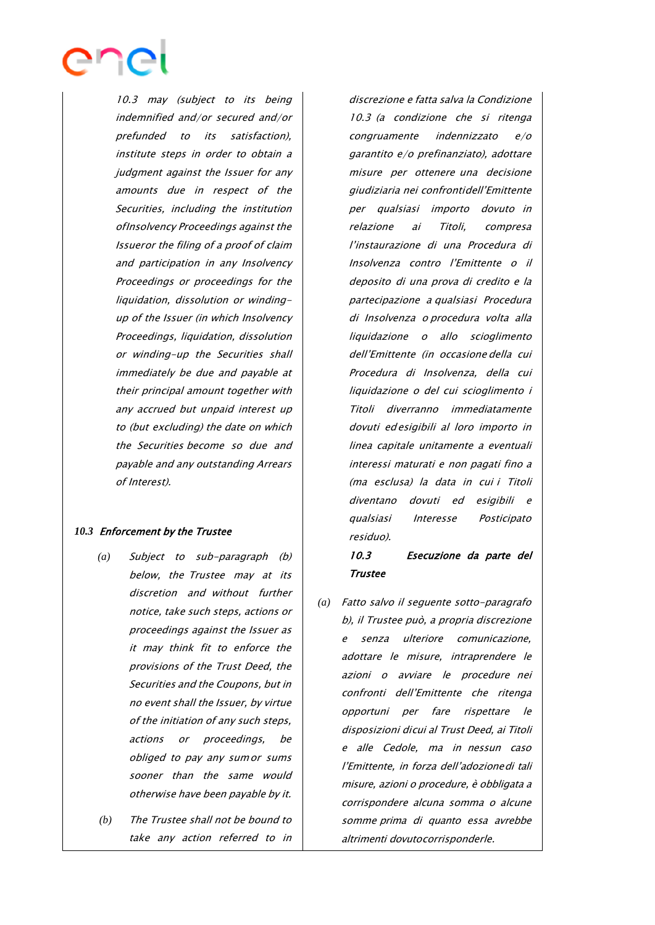

10.3 may (subject to its being indemnified and/or secured and/or prefunded to its satisfaction), institute steps in order to obtain a judgment against the Issuer for any amounts due in respect of the Securities, including the institution ofInsolvency Proceedings against the Issueror the filing of <sup>a</sup> proof of claim and participation in any Insolvency Proceedings or proceedings for the liquidation, dissolution or windingup of the Issuer (in which Insolvency Proceedings, liquidation, dissolution or winding-up the Securities shall immediately be due and payable at their principal amount together with any accrued but unpaid interest up to (but excluding) the date on which the Securities become so due and payable and any outstanding Arrears of Interest).

#### *10.3* Enforcement by the Trustee

- *(a)* Subject to sub-paragraph (b) below, the Trustee may at its discretion and without further notice, take such steps, actions or proceedings against the Issuer as it may think fit to enforce the provisions of the Trust Deed, the Securities and the Coupons, but in no event shall the Issuer, by virtue of the initiation of any such steps, actions or proceedings, be obliged to pay any sumor sums sooner than the same would otherwise have been payable by it.
- *(b)* The Trustee shall not be bound to take any action referred to in

discrezione e fatta salva la Condizione 10.3 (a condizione che si ritenga congruamente indennizzato e/o garantito e/o prefinanziato), adottare misure per ottenere una decisione giudiziaria nei confrontidell'Emittente per qualsiasi importo dovuto in relazione ai Titoli, compresa l'instaurazione di una Procedura di Insolvenza contro l'Emittente o il deposito di una prova di credito <sup>e</sup> la partecipazione <sup>a</sup> qualsiasi Procedura di Insolvenza <sup>o</sup> procedura volta alla liquidazione <sup>o</sup> allo scioglimento dell'Emittente (in occasione della cui Procedura di Insolvenza, della cui liquidazione o del cui scioglimento i Titoli diverranno immediatamente dovuti edesigibili al loro importo in linea capitale unitamente a eventuali interessi maturati e non pagati fino <sup>a</sup> (ma esclusa) la data in cui i Titoli diventano dovuti ed esigibili <sup>e</sup> qualsiasi Interesse Posticipato residuo).

## 10.3 Esecuzione da parte del Trustee

*(a)* Fatto salvo il seguente sotto-paragrafo b), il Trustee può, a propria discrezione e senza ulteriore comunicazione, adottare le misure, intraprendere le azioni <sup>o</sup> avviare le procedure nei confronti dell'Emittente che ritenga opportuni per fare rispettare le disposizioni dicui al Trust Deed, ai Titoli <sup>e</sup> alle Cedole, ma in nessun caso l'Emittente, in forza dell'adozionedi tali misure, azioni <sup>o</sup> procedure, è obbligata <sup>a</sup> corrispondere alcuna somma o alcune somme prima di quanto essa avrebbe altrimenti dovutocorrisponderle.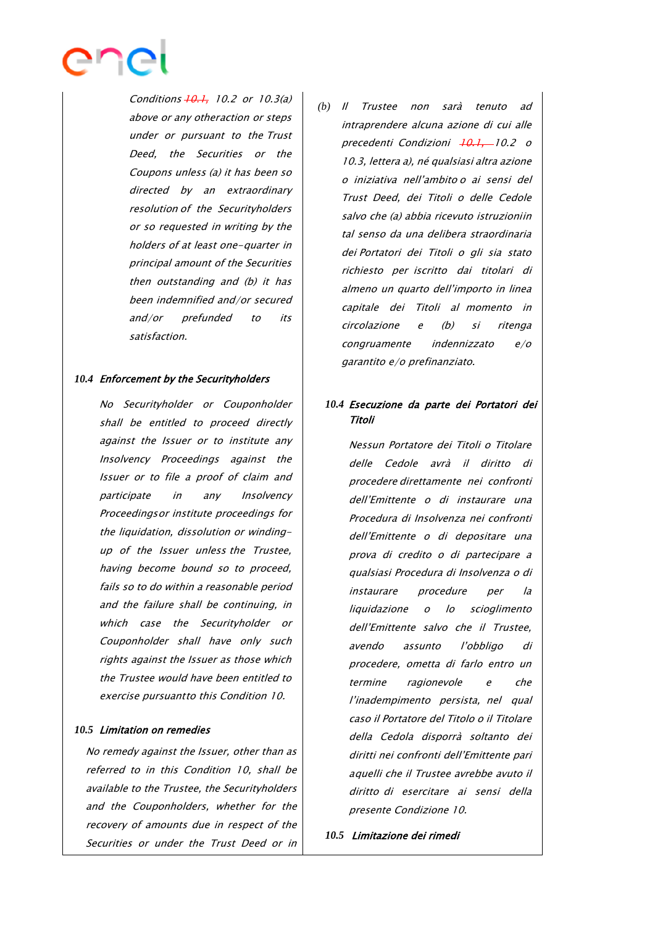

Conditions  $+0.1$ , 10.2 or 10.3(a) above or any otheraction or steps under or pursuant to the Trust Deed, the Securities or the Coupons unless (a) it has been so directed by an extraordinary resolution of the Securityholders or so requested in writing by the holders of at least one-quarter in principal amount of the Securities then outstanding and (b) it has been indemnified and/or secured and/or prefunded to its satisfaction.

#### *10.4* Enforcement by the Securityholders

No Securityholder or Couponholder shall be entitled to proceed directly against the Issuer or to institute any Insolvency Proceedings against the Issuer or to file a proof of claim and participate in any Insolvency Proceedingsor institute proceedings for the liquidation, dissolution or windingup of the Issuer unless the Trustee, having become bound so to proceed, fails so to do within a reasonable period and the failure shall be continuing, in which case the Securityholder or Couponholder shall have only such rights against the Issuer as those which the Trustee would have been entitled to exercise pursuantto this Condition 10.

#### *10.5* Limitation on remedies

No remedy against the Issuer, other than as referred to in this Condition 10, shall be available to the Trustee, the Securityholders and the Couponholders, whether for the recovery of amounts due in respect of the Securities or under the Trust Deed or in

*(b)* Il Trustee non sarà tenuto ad intraprendere alcuna azione di cui alle precedenti Condizioni +0.1, 10.2 o 10.3, lettera a), né qualsiasi altra azione o iniziativa nell'ambito o ai sensi del Trust Deed, dei Titoli o delle Cedole salvo che (a) abbia ricevuto istruzioniin tal senso da una delibera straordinaria dei Portatori dei Titoli <sup>o</sup> gli sia stato richiesto per iscritto dai titolari di almeno un quarto dell'importo in linea capitale dei Titoli al momento in circolazione <sup>e</sup> (b) si ritenga congruamente indennizzato e/o garantito e/o prefinanziato.

## *10.4* Esecuzione da parte dei Portatori dei Titoli

Nessun Portatore dei Titoli o Titolare delle Cedole avrà il diritto di procedere direttamente nei confronti dell'Emittente o di instaurare una Procedura di Insolvenza nei confronti dell'Emittente o di depositare una prova di credito <sup>o</sup> di partecipare <sup>a</sup> qualsiasi Procedura di Insolvenza <sup>o</sup> di instaurare procedure per la liquidazione o lo scioglimento dell'Emittente salvo che il Trustee, avendo assunto l'obbligo di procedere, ometta di farlo entro un termine ragionevole <sup>e</sup> che l'inadempimento persista, nel qual caso il Portatore del Titolo o il Titolare della Cedola disporrà soltanto dei diritti nei confronti dell'Emittente pari aquelli che il Trustee avrebbe avuto il diritto di esercitare ai sensi della presente Condizione 10.

*10.5* Limitazione dei rimedi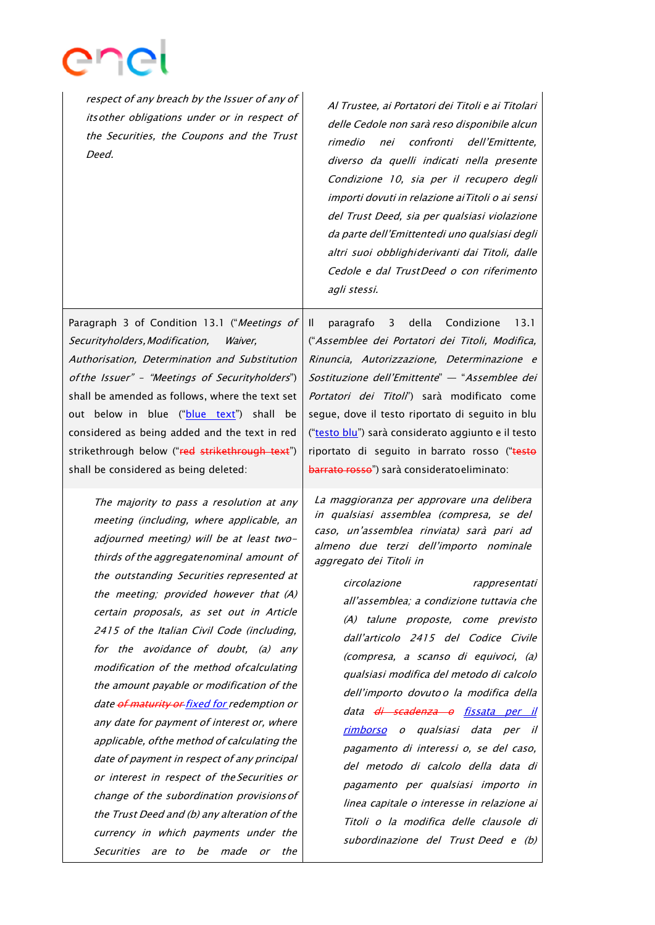

respect of any breach by the Issuer of any of itsother obligations under or in respect of the Securities, the Coupons and the Trust Deed. Al Trustee, ai Portatori dei Titoli <sup>e</sup> ai Titolari delle Cedole non sarà reso disponibile alcun rimedio nei confronti dell'Emittente, diverso da quelli indicati nella presente Condizione 10, sia per il recupero degli importi dovuti in relazione aiTitoli o ai sensi del Trust Deed, sia per qualsiasi violazione da parte dell'Emittentedi uno qualsiasi degli altri suoi obblighiderivanti dai Titoli, dalle Cedole <sup>e</sup> dal TrustDeed o con riferimento agli stessi. Paragraph 3 of Condition 13.1 ("Meetings of Securityholders, Modification, Waiver, Authorisation, Determination and Substitution ofthe Issuer" – "Meetings of Securityholders") shall be amended as follows, where the text set out below in blue ("blue text") shall be considered as being added and the text in red strikethrough below ("red strikethrough text") shall be considered as being deleted: Il paragrafo 3 della Condizione 13.1 ("Assemblee dei Portatori dei Titoli, Modifica, Rinuncia, Autorizzazione, Determinazione <sup>e</sup> Sostituzione dell'Emittente" — "Assemblee dei Portatori dei Titoli") sarà modificato come segue, dove il testo riportato di seguito in blu ("testo blu") sarà considerato aggiunto e il testo riportato di seguito in barrato rosso ("testo barrato rosso") sarà consideratoeliminato: The majority to pass a resolution at any meeting (including, where applicable, an adjourned meeting) will be at least twothirds of the aggregatenominal amount of the outstanding Securities represented at the meeting; provided however that (A) certain proposals, as set out in Article 2415 of the Italian Civil Code (including, for the avoidance of doubt, (a) any modification of the method ofcalculating the amount payable or modification of the date of maturity or fixed for redemption or any date for payment of interest or, where applicable, ofthe method of calculating the date of payment in respect of any principal or interest in respect of the Securities or change of the subordination provisionsof the Trust Deed and (b) any alteration of the currency in which payments under the La maggioranza per approvare una delibera in qualsiasi assemblea (compresa, se del caso, un'assemblea rinviata) sarà pari ad almeno due terzi dell'importo nominale aggregato dei Titoli in all'assemblea; <sup>a</sup> condizione tuttavia che (A) talune proposte, come previsto dall'articolo 2415 del Codice Civile (compresa, <sup>a</sup> scanso di equivoci, (a) qualsiasi modifica del metodo di calcolo dell'importo dovutoo la modifica della data <del>di scadenza o</del> fissata per il rimborso <sup>o</sup> qualsiasi data per il pagamento di interessi o, se del caso, del metodo di calcolo della data di pagamento per qualsiasi importo in linea capitale <sup>o</sup> interesse in relazione ai Titoli <sup>o</sup> la modifica delle clausole di subordinazione del Trust Deed e (b)

Securities are to be made or the

circolazione rappresentati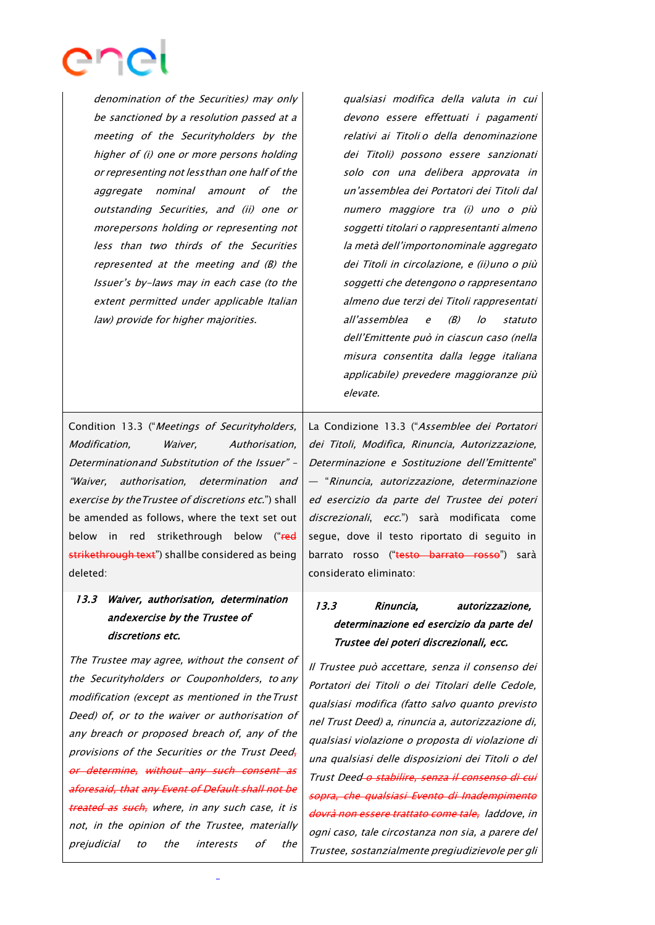

denomination of the Securities) may only be sanctioned by a resolution passed at a meeting of the Securityholders by the higher of (i) one or more persons holding or representing not lessthan one half of the aggregate nominal amount of the outstanding Securities, and (ii) one or morepersons holding or representing not less than two thirds of the Securities represented at the meeting and (B) the Issuer's by-laws may in each case (to the extent permitted under applicable Italian law) provide for higher majorities.

qualsiasi modifica della valuta in cui devono essere effettuati i pagamenti relativi ai Titoli o della denominazione dei Titoli) possono essere sanzionati solo con una delibera approvata in un'assemblea dei Portatori dei Titoli dal numero maggiore tra (i) uno <sup>o</sup> più soggetti titolari <sup>o</sup> rappresentanti almeno la metà dell'importonominale aggregato dei Titoli in circolazione, e (ii)uno o più soggetti che detengono o rappresentano almeno due terzi dei Titoli rappresentati all'assemblea e (B) lo statuto dell'Emittente può in ciascun caso (nella misura consentita dalla legge italiana applicabile) prevedere maggioranze più elevate.

Condition 13.3 ("Meetings of Securityholders, Modification, Waiver, Authorisation, Determinationand Substitution of the Issuer" – "Waiver, authorisation, determination and exercise by theTrustee of discretions etc.") shall be amended as follows, where the text set out below in red strikethrough below ("red strikethrough text") shallbe considered as being deleted:

# 13.3 Waiver, authorisation, determination and exercise by the Trustee of discretions etc.

The Trustee may agree, without the consent of the Securityholders or Couponholders, to any modification (except as mentioned in theTrust Deed) of, or to the waiver or authorisation of any breach or proposed breach of, any of the provisions of the Securities or the Trust Deedor determine, without any such consent as aforesaid, that any Event of Default shall not be treated as such, where, in any such case, it is not, in the opinion of the Trustee, materially prejudicial to the interests of the

La Condizione 13.3 ("Assemblee dei Portatori dei Titoli, Modifica, Rinuncia, Autorizzazione, Determinazione e Sostituzione dell'Emittente" — "Rinuncia, autorizzazione, determinazione ed esercizio da parte del Trustee dei poteri discrezionali, ecc.") sarà modificata come segue, dove il testo riportato di seguito in barrato rosso ("testo barrato rosso") sarà considerato eliminato:

# 13.3 Rinuncia, autorizzazione, determinazione ed esercizio da parte del Trustee dei poteri discrezionali, ecc.

Il Trustee può accettare, senza il consenso dei Portatori dei Titoli o dei Titolari delle Cedole, qualsiasi modifica (fatto salvo quanto previsto nel Trust Deed) a, rinuncia a, autorizzazione di, qualsiasi violazione o proposta di violazione di una qualsiasi delle disposizioni dei Titoli o del Trust Deed o stabilire, senza il consenso di cui sopra, che qualsiasi Evento di Inadempimento dovrà non essere trattato come tale, laddove, in ogni caso, tale circostanza non sia, <sup>a</sup> parere del Trustee, sostanzialmente pregiudizievole per gli